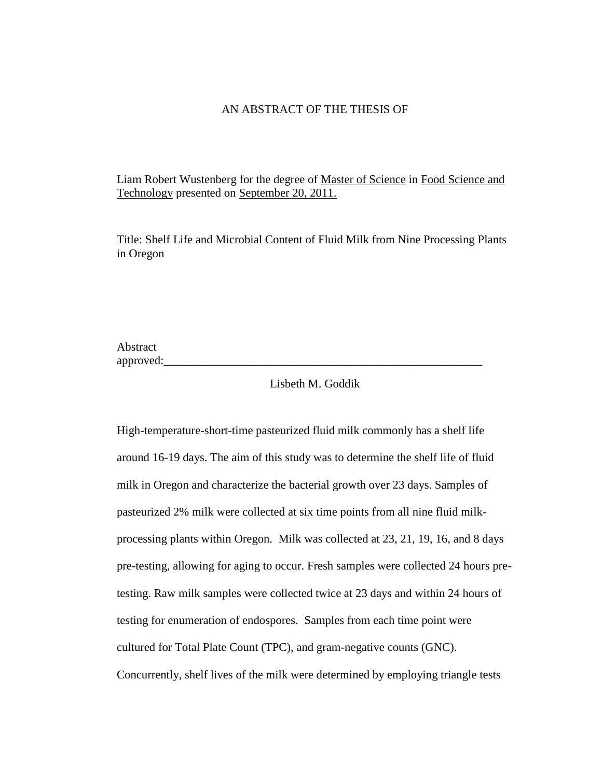# AN ABSTRACT OF THE THESIS OF

Liam Robert Wustenberg for the degree of Master of Science in Food Science and Technology presented on September 20, 2011.

Title: Shelf Life and Microbial Content of Fluid Milk from Nine Processing Plants in Oregon

Abstract approved:

# Lisbeth M. Goddik

High-temperature-short-time pasteurized fluid milk commonly has a shelf life around 16-19 days. The aim of this study was to determine the shelf life of fluid milk in Oregon and characterize the bacterial growth over 23 days. Samples of pasteurized 2% milk were collected at six time points from all nine fluid milkprocessing plants within Oregon. Milk was collected at 23, 21, 19, 16, and 8 days pre-testing, allowing for aging to occur. Fresh samples were collected 24 hours pretesting. Raw milk samples were collected twice at 23 days and within 24 hours of testing for enumeration of endospores. Samples from each time point were cultured for Total Plate Count (TPC), and gram-negative counts (GNC). Concurrently, shelf lives of the milk were determined by employing triangle tests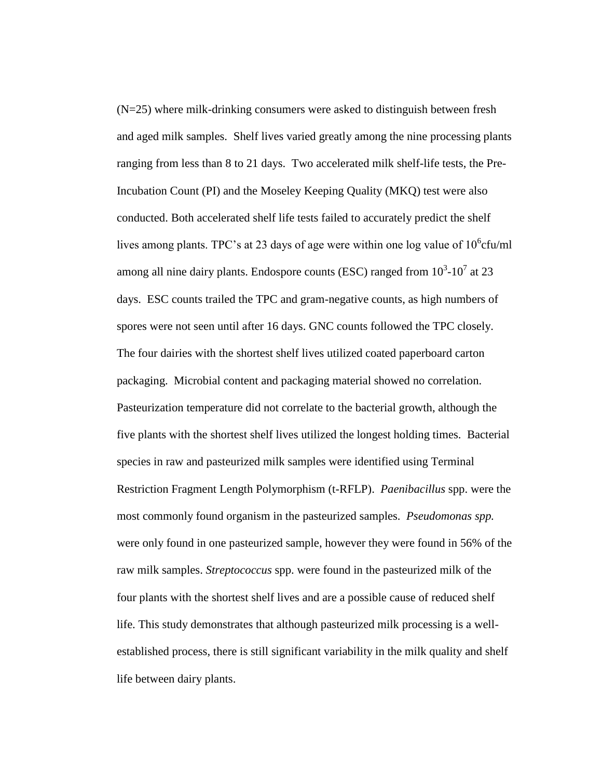(N=25) where milk-drinking consumers were asked to distinguish between fresh and aged milk samples. Shelf lives varied greatly among the nine processing plants ranging from less than 8 to 21 days. Two accelerated milk shelf-life tests, the Pre-Incubation Count (PI) and the Moseley Keeping Quality (MKQ) test were also conducted. Both accelerated shelf life tests failed to accurately predict the shelf lives among plants. TPC's at 23 days of age were within one log value of  $10^6$ cfu/ml among all nine dairy plants. Endospore counts (ESC) ranged from  $10^3$ - $10^7$  at 23 days. ESC counts trailed the TPC and gram-negative counts, as high numbers of spores were not seen until after 16 days. GNC counts followed the TPC closely. The four dairies with the shortest shelf lives utilized coated paperboard carton packaging. Microbial content and packaging material showed no correlation. Pasteurization temperature did not correlate to the bacterial growth, although the five plants with the shortest shelf lives utilized the longest holding times. Bacterial species in raw and pasteurized milk samples were identified using Terminal Restriction Fragment Length Polymorphism (t-RFLP). *Paenibacillus* spp. were the most commonly found organism in the pasteurized samples. *Pseudomonas spp.*  were only found in one pasteurized sample, however they were found in 56% of the raw milk samples. *Streptococcus* spp. were found in the pasteurized milk of the four plants with the shortest shelf lives and are a possible cause of reduced shelf life. This study demonstrates that although pasteurized milk processing is a wellestablished process, there is still significant variability in the milk quality and shelf life between dairy plants.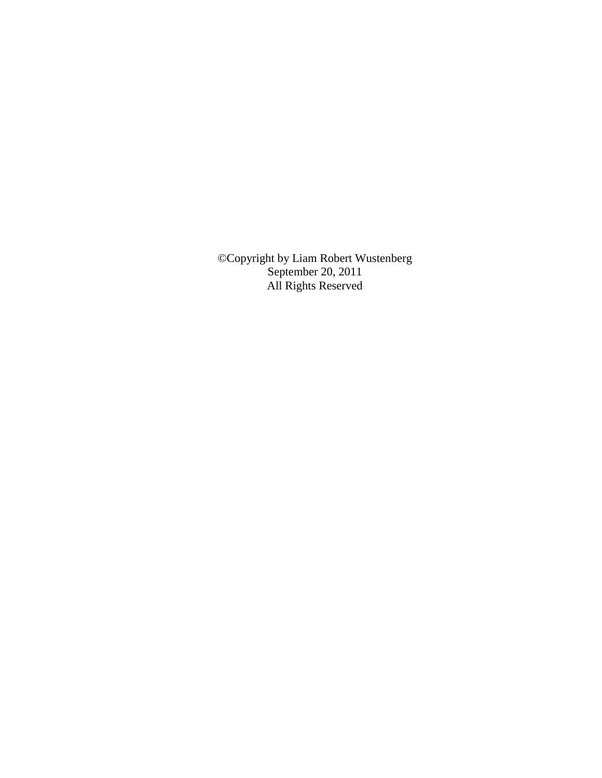©Copyright by Liam Robert Wustenberg September 20, 2011 All Rights Reserved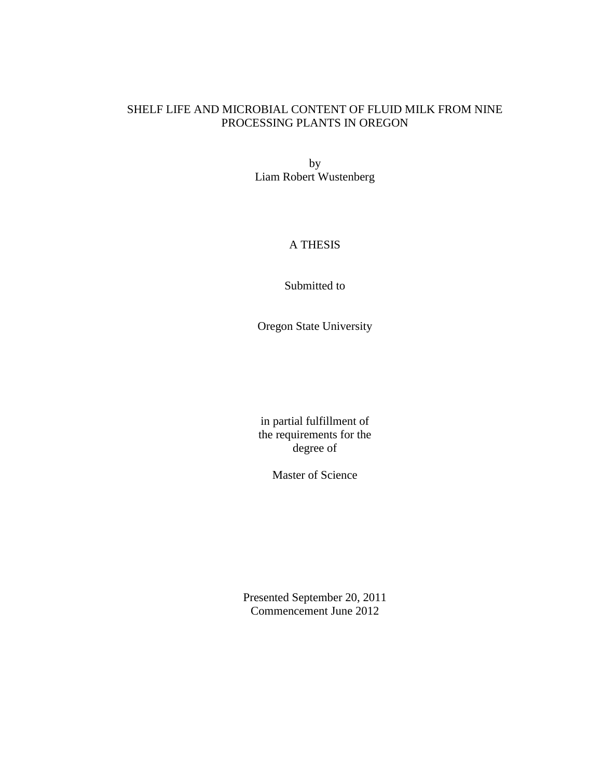# SHELF LIFE AND MICROBIAL CONTENT OF FLUID MILK FROM NINE PROCESSING PLANTS IN OREGON

by Liam Robert Wustenberg

# A THESIS

Submitted to

Oregon State University

in partial fulfillment of the requirements for the degree of

Master of Science

Presented September 20, 2011 Commencement June 2012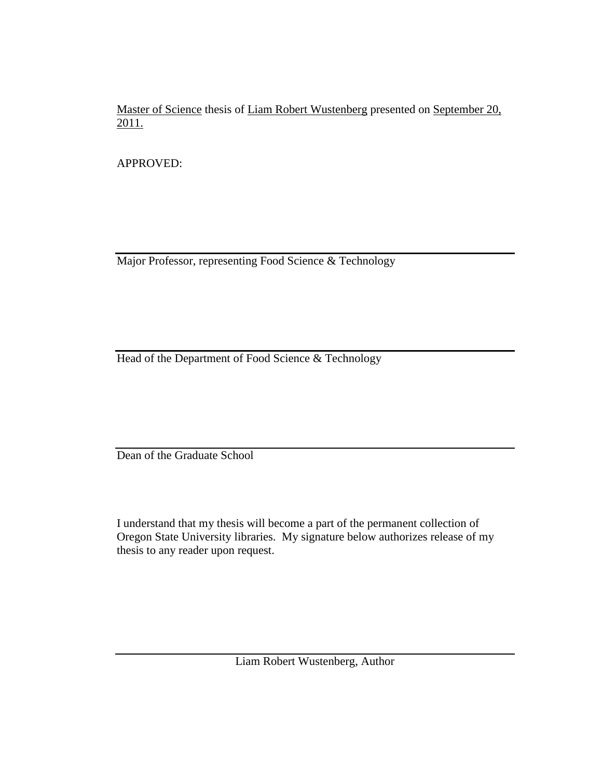Master of Science thesis of Liam Robert Wustenberg presented on September 20, 2011.

APPROVED:

Major Professor, representing Food Science & Technology

Head of the Department of Food Science & Technology

Dean of the Graduate School

I understand that my thesis will become a part of the permanent collection of Oregon State University libraries. My signature below authorizes release of my thesis to any reader upon request.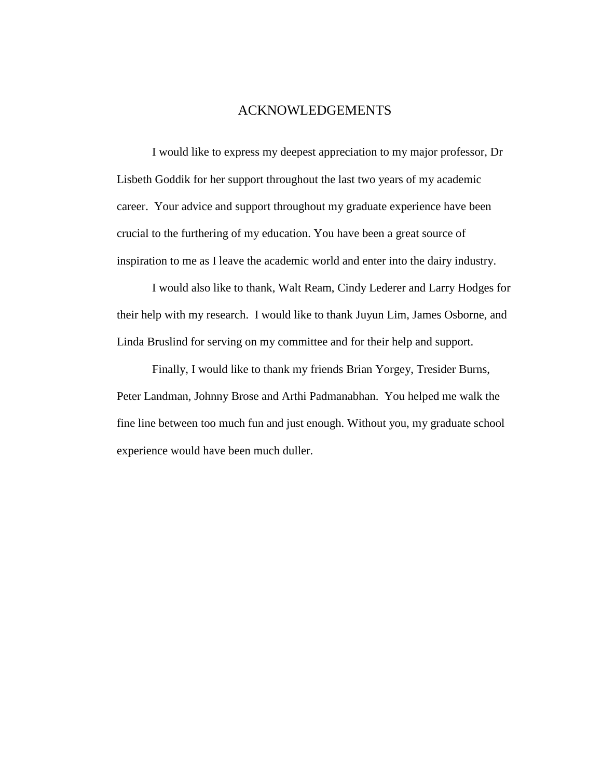# ACKNOWLEDGEMENTS

I would like to express my deepest appreciation to my major professor, Dr Lisbeth Goddik for her support throughout the last two years of my academic career. Your advice and support throughout my graduate experience have been crucial to the furthering of my education. You have been a great source of inspiration to me as I leave the academic world and enter into the dairy industry.

I would also like to thank, Walt Ream, Cindy Lederer and Larry Hodges for their help with my research. I would like to thank Juyun Lim, James Osborne, and Linda Bruslind for serving on my committee and for their help and support.

Finally, I would like to thank my friends Brian Yorgey, Tresider Burns, Peter Landman, Johnny Brose and Arthi Padmanabhan. You helped me walk the fine line between too much fun and just enough. Without you, my graduate school experience would have been much duller.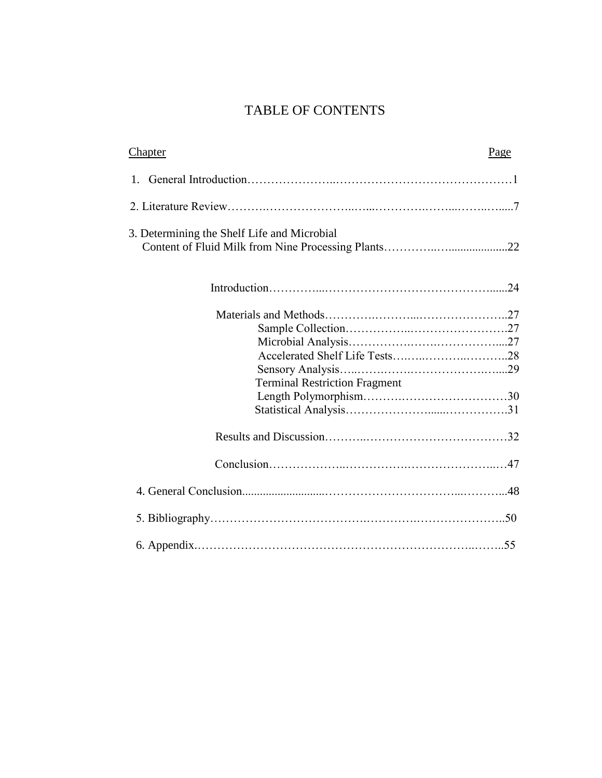# TABLE OF CONTENTS

| <b>Chapter</b>                              | Page |
|---------------------------------------------|------|
| $1_{-}$                                     |      |
|                                             |      |
| 3. Determining the Shelf Life and Microbial |      |
|                                             |      |
|                                             |      |
|                                             |      |
|                                             |      |
|                                             |      |
|                                             |      |
| <b>Terminal Restriction Fragment</b>        |      |
|                                             |      |
|                                             |      |
|                                             |      |
|                                             |      |
|                                             |      |
|                                             |      |
|                                             |      |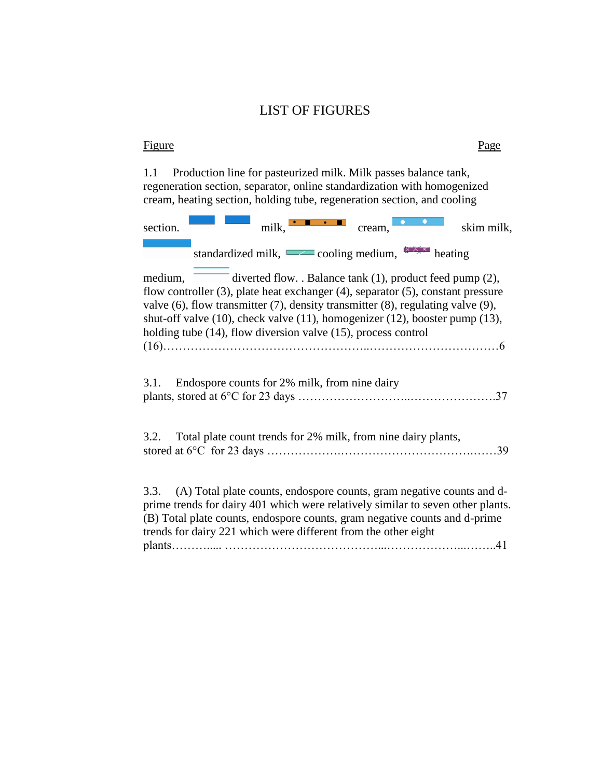# LIST OF FIGURES

# **Figure** Page

1.1 Production line for pasteurized milk. Milk passes balance tank, regeneration section, separator, online standardization with homogenized cream, heating section, holding tube, regeneration section, and cooling

| section. | $milk$ $\bullet$ $\bullet$ $\bullet$                                                                                                                                                                                                                                                                                                                                                                                   | cream, | skim milk, |
|----------|------------------------------------------------------------------------------------------------------------------------------------------------------------------------------------------------------------------------------------------------------------------------------------------------------------------------------------------------------------------------------------------------------------------------|--------|------------|
|          | standardized milk, $\sim$ cooling medium, $\sim$ heating                                                                                                                                                                                                                                                                                                                                                               |        |            |
| medium.  | diverted flow. . Balance tank (1), product feed pump (2),<br>flow controller $(3)$ , plate heat exchanger $(4)$ , separator $(5)$ , constant pressure<br>valve $(6)$ , flow transmitter $(7)$ , density transmitter $(8)$ , regulating valve $(9)$ ,<br>shut-off valve $(10)$ , check valve $(11)$ , homogenizer $(12)$ , booster pump $(13)$ ,<br>holding tube $(14)$ , flow diversion valve $(15)$ , process control |        |            |
| 3.1.     | Endospore counts for 2% milk, from nine dairy                                                                                                                                                                                                                                                                                                                                                                          |        |            |
| 3.2.     | Total plate count trends for 2% milk, from nine dairy plants,                                                                                                                                                                                                                                                                                                                                                          |        |            |
| 3.3.     | (A) Total plate counts, endospore counts, gram negative counts and d-<br>prime trends for dairy 401 which were relatively similar to seven other plants.<br>(B) Total plate counts, endospore counts, gram negative counts and d-prime<br>trends for dairy 221 which were different from the other eight                                                                                                               |        |            |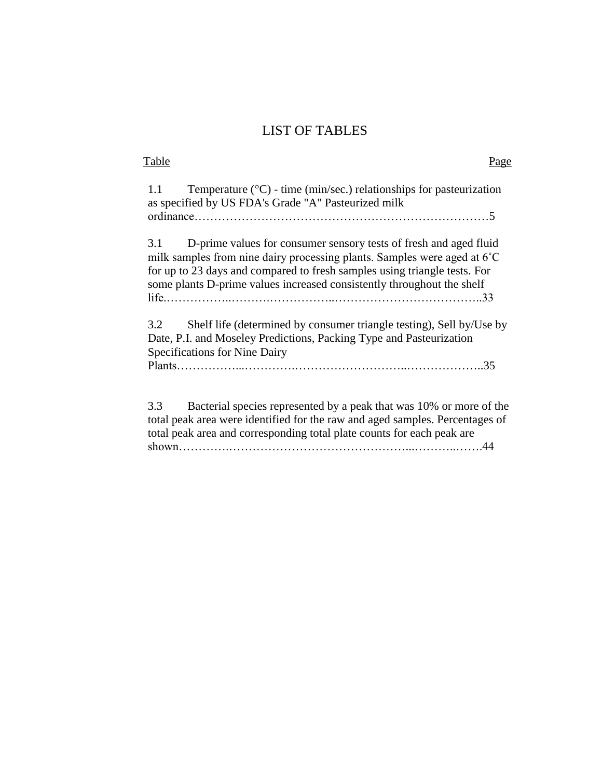# LIST OF TABLES

| Table                                                                                                                                                                                                                                                                                                       | Page |
|-------------------------------------------------------------------------------------------------------------------------------------------------------------------------------------------------------------------------------------------------------------------------------------------------------------|------|
| Temperature $(^{\circ}C)$ - time (min/sec.) relationships for pasteurization<br>1.1<br>as specified by US FDA's Grade "A" Pasteurized milk                                                                                                                                                                  |      |
|                                                                                                                                                                                                                                                                                                             |      |
| D-prime values for consumer sensory tests of fresh and aged fluid<br>3.1<br>milk samples from nine dairy processing plants. Samples were aged at 6°C<br>for up to 23 days and compared to fresh samples using triangle tests. For<br>some plants D-prime values increased consistently throughout the shelf |      |
| Shelf life (determined by consumer triangle testing), Sell by/Use by<br>3.2<br>Date, P.I. and Moseley Predictions, Packing Type and Pasteurization<br>Specifications for Nine Dairy                                                                                                                         |      |
| Bacterial species represented by a peak that was 10% or more of the<br>3.3<br>total peak area were identified for the raw and aged samples. Percentages of<br>total peak area and corresponding total plate counts for each peak are                                                                        |      |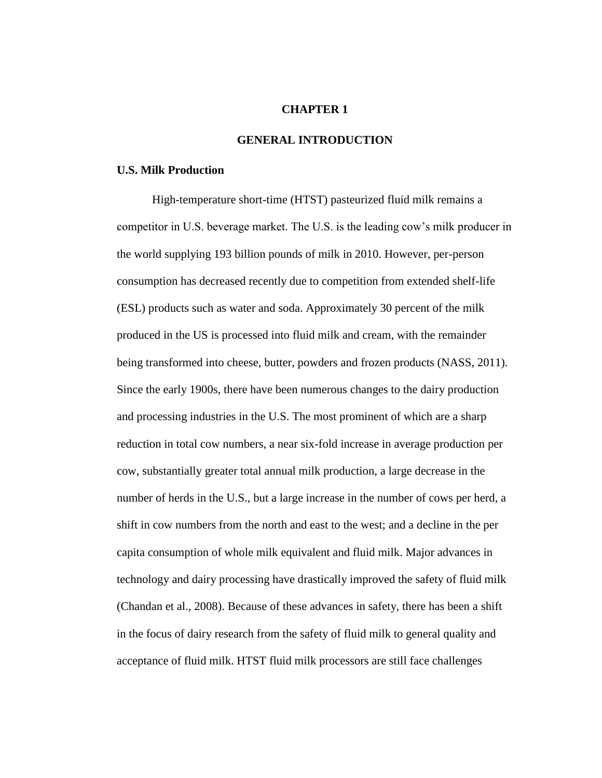# **CHAPTER 1**

# **GENERAL INTRODUCTION**

#### **U.S. Milk Production**

High-temperature short-time (HTST) pasteurized fluid milk remains a competitor in U.S. beverage market. The U.S. is the leading cow's milk producer in the world supplying 193 billion pounds of milk in 2010. However, per-person consumption has decreased recently due to competition from extended shelf-life (ESL) products such as water and soda. Approximately 30 percent of the milk produced in the US is processed into fluid milk and cream, with the remainder being transformed into cheese, butter, powders and frozen products (NASS, 2011). Since the early 1900s, there have been numerous changes to the dairy production and processing industries in the U.S. The most prominent of which are a sharp reduction in total cow numbers, a near six-fold increase in average production per cow, substantially greater total annual milk production, a large decrease in the number of herds in the U.S., but a large increase in the number of cows per herd, a shift in cow numbers from the north and east to the west; and a decline in the per capita consumption of whole milk equivalent and fluid milk. Major advances in technology and dairy processing have drastically improved the safety of fluid milk (Chandan et al., 2008). Because of these advances in safety, there has been a shift in the focus of dairy research from the safety of fluid milk to general quality and acceptance of fluid milk. HTST fluid milk processors are still face challenges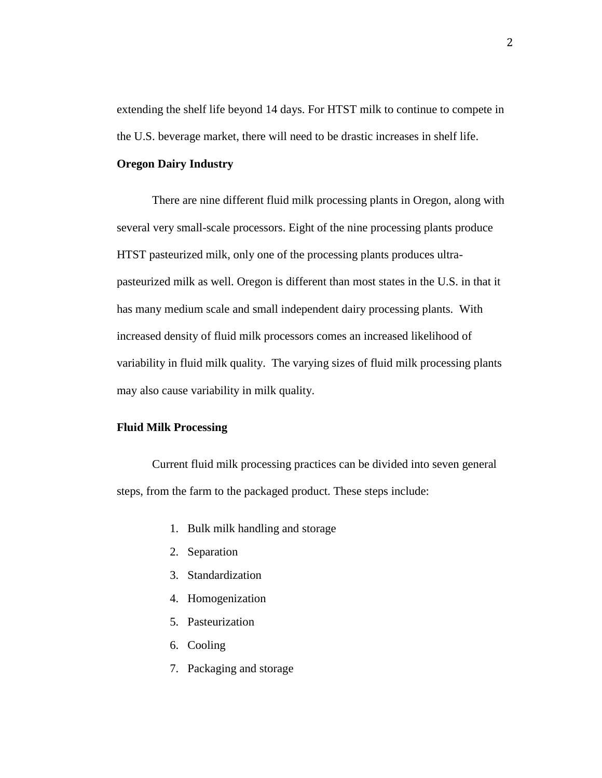extending the shelf life beyond 14 days. For HTST milk to continue to compete in the U.S. beverage market, there will need to be drastic increases in shelf life.

# **Oregon Dairy Industry**

There are nine different fluid milk processing plants in Oregon, along with several very small-scale processors. Eight of the nine processing plants produce HTST pasteurized milk, only one of the processing plants produces ultrapasteurized milk as well. Oregon is different than most states in the U.S. in that it has many medium scale and small independent dairy processing plants. With increased density of fluid milk processors comes an increased likelihood of variability in fluid milk quality. The varying sizes of fluid milk processing plants may also cause variability in milk quality.

#### **Fluid Milk Processing**

Current fluid milk processing practices can be divided into seven general steps, from the farm to the packaged product. These steps include:

- 1. Bulk milk handling and storage
- 2. Separation
- 3. Standardization
- 4. Homogenization
- 5. Pasteurization
- 6. Cooling
- 7. Packaging and storage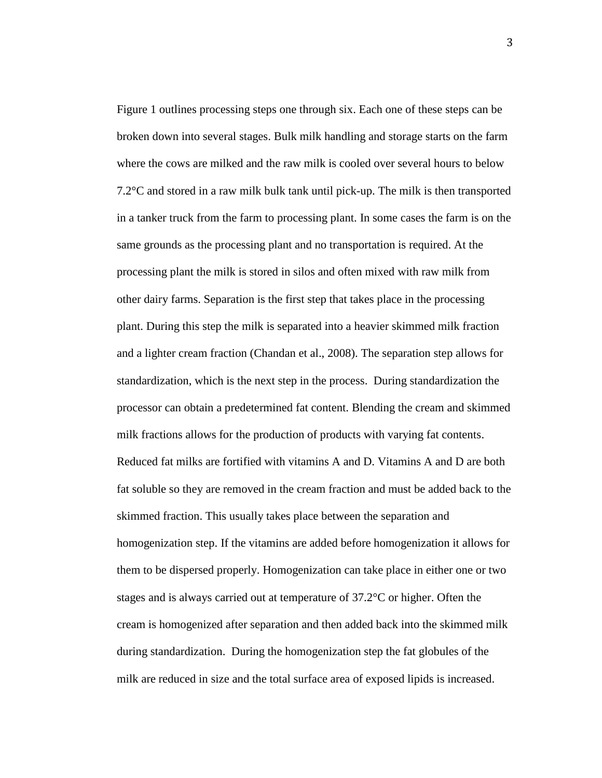Figure 1 outlines processing steps one through six. Each one of these steps can be broken down into several stages. Bulk milk handling and storage starts on the farm where the cows are milked and the raw milk is cooled over several hours to below 7.2°C and stored in a raw milk bulk tank until pick-up. The milk is then transported in a tanker truck from the farm to processing plant. In some cases the farm is on the same grounds as the processing plant and no transportation is required. At the processing plant the milk is stored in silos and often mixed with raw milk from other dairy farms. Separation is the first step that takes place in the processing plant. During this step the milk is separated into a heavier skimmed milk fraction and a lighter cream fraction (Chandan et al., 2008). The separation step allows for standardization, which is the next step in the process. During standardization the processor can obtain a predetermined fat content. Blending the cream and skimmed milk fractions allows for the production of products with varying fat contents. Reduced fat milks are fortified with vitamins A and D. Vitamins A and D are both fat soluble so they are removed in the cream fraction and must be added back to the skimmed fraction. This usually takes place between the separation and homogenization step. If the vitamins are added before homogenization it allows for them to be dispersed properly. Homogenization can take place in either one or two stages and is always carried out at temperature of 37.2°C or higher. Often the cream is homogenized after separation and then added back into the skimmed milk during standardization. During the homogenization step the fat globules of the milk are reduced in size and the total surface area of exposed lipids is increased.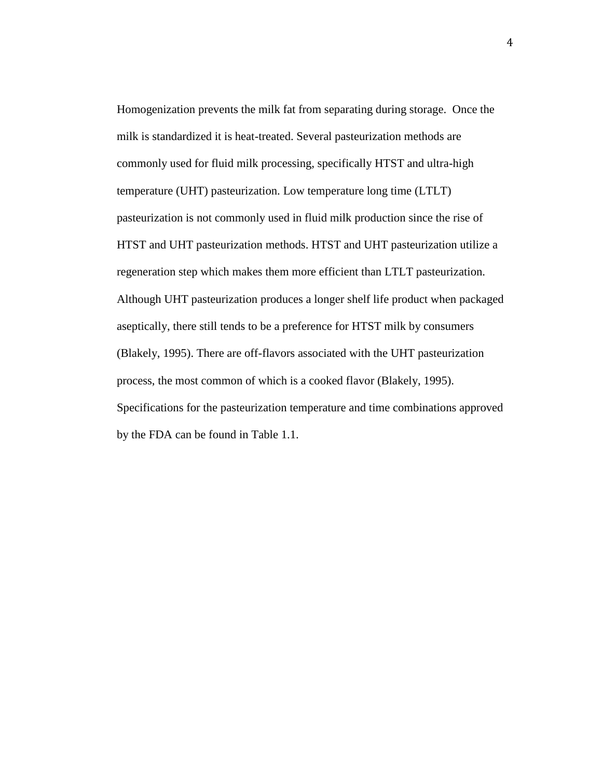Homogenization prevents the milk fat from separating during storage. Once the milk is standardized it is heat-treated. Several pasteurization methods are commonly used for fluid milk processing, specifically HTST and ultra-high temperature (UHT) pasteurization. Low temperature long time (LTLT) pasteurization is not commonly used in fluid milk production since the rise of HTST and UHT pasteurization methods. HTST and UHT pasteurization utilize a regeneration step which makes them more efficient than LTLT pasteurization. Although UHT pasteurization produces a longer shelf life product when packaged aseptically, there still tends to be a preference for HTST milk by consumers (Blakely, 1995). There are off-flavors associated with the UHT pasteurization process, the most common of which is a cooked flavor (Blakely, 1995). Specifications for the pasteurization temperature and time combinations approved by the FDA can be found in Table 1.1.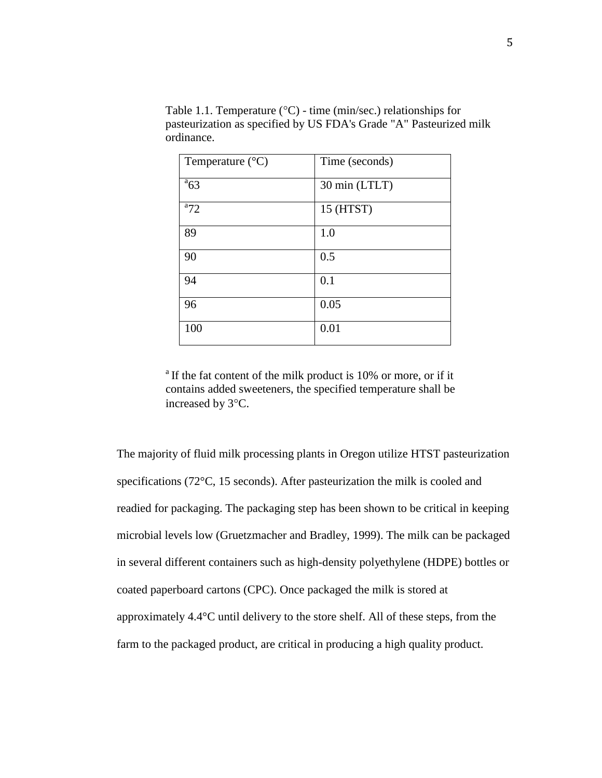| Temperature $(^{\circ}C)$ | Time (seconds) |
|---------------------------|----------------|
| $a_{63}$                  | 30 min (LTLT)  |
| $a_{72}$                  | 15 (HTST)      |
| 89                        | 1.0            |
| 90                        | 0.5            |
| 94                        | 0.1            |
| 96                        | 0.05           |
| 100                       | 0.01           |

Table 1.1. Temperature ( ${}^{\circ}$ C) - time (min/sec.) relationships for pasteurization as specified by US FDA's Grade "A" Pasteurized milk ordinance.

 $^{\circ}$  If the fat content of the milk product is 10% or more, or if it contains added sweeteners, the specified temperature shall be increased by 3°C.

The majority of fluid milk processing plants in Oregon utilize HTST pasteurization specifications (72°C, 15 seconds). After pasteurization the milk is cooled and readied for packaging. The packaging step has been shown to be critical in keeping microbial levels low (Gruetzmacher and Bradley, 1999). The milk can be packaged in several different containers such as high-density polyethylene (HDPE) bottles or coated paperboard cartons (CPC). Once packaged the milk is stored at approximately 4.4°C until delivery to the store shelf. All of these steps, from the farm to the packaged product, are critical in producing a high quality product.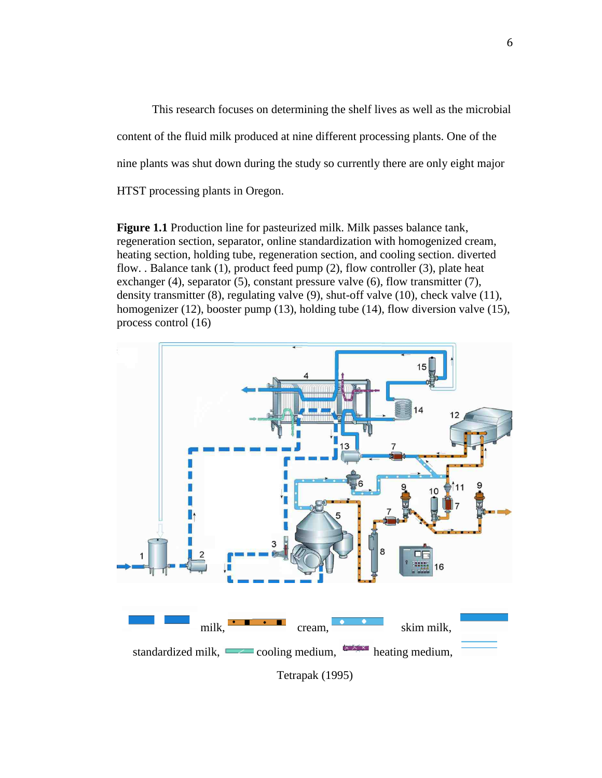This research focuses on determining the shelf lives as well as the microbial content of the fluid milk produced at nine different processing plants. One of the nine plants was shut down during the study so currently there are only eight major HTST processing plants in Oregon.

**Figure 1.1** Production line for pasteurized milk. Milk passes balance tank, regeneration section, separator, online standardization with homogenized cream, heating section, holding tube, regeneration section, and cooling section. diverted flow. . Balance tank (1), product feed pump (2), flow controller (3), plate heat exchanger (4), separator (5), constant pressure valve (6), flow transmitter (7), density transmitter (8), regulating valve (9), shut-off valve (10), check valve (11), homogenizer (12), booster pump (13), holding tube (14), flow diversion valve (15), process control (16)

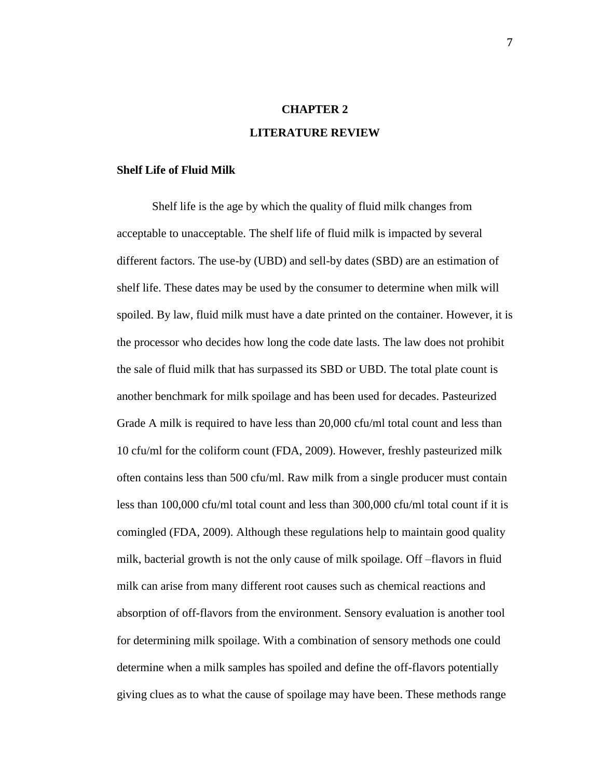# **CHAPTER 2 LITERATURE REVIEW**

#### **Shelf Life of Fluid Milk**

Shelf life is the age by which the quality of fluid milk changes from acceptable to unacceptable. The shelf life of fluid milk is impacted by several different factors. The use-by (UBD) and sell-by dates (SBD) are an estimation of shelf life. These dates may be used by the consumer to determine when milk will spoiled. By law, fluid milk must have a date printed on the container. However, it is the processor who decides how long the code date lasts. The law does not prohibit the sale of fluid milk that has surpassed its SBD or UBD. The total plate count is another benchmark for milk spoilage and has been used for decades. Pasteurized Grade A milk is required to have less than 20,000 cfu/ml total count and less than 10 cfu/ml for the coliform count (FDA, 2009). However, freshly pasteurized milk often contains less than 500 cfu/ml. Raw milk from a single producer must contain less than 100,000 cfu/ml total count and less than 300,000 cfu/ml total count if it is comingled (FDA, 2009). Although these regulations help to maintain good quality milk, bacterial growth is not the only cause of milk spoilage. Off –flavors in fluid milk can arise from many different root causes such as chemical reactions and absorption of off-flavors from the environment. Sensory evaluation is another tool for determining milk spoilage. With a combination of sensory methods one could determine when a milk samples has spoiled and define the off-flavors potentially giving clues as to what the cause of spoilage may have been. These methods range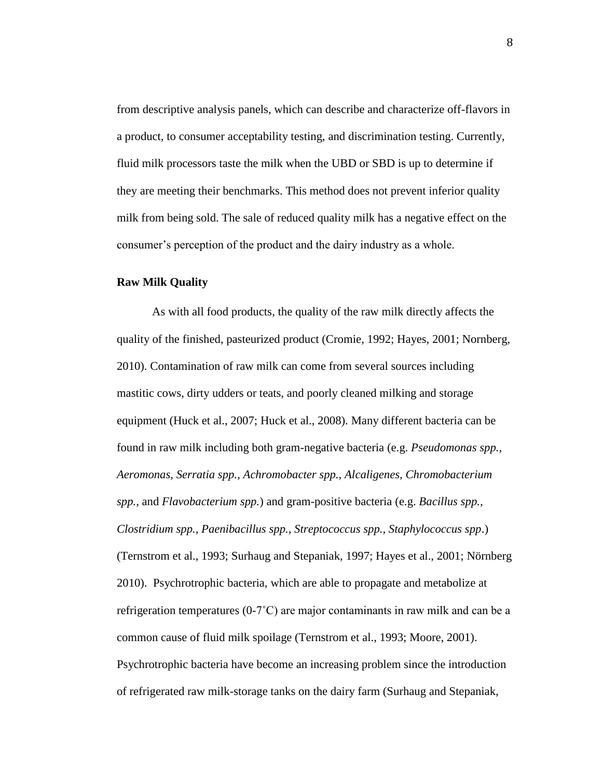from descriptive analysis panels, which can describe and characterize off-flavors in a product, to consumer acceptability testing, and discrimination testing. Currently, fluid milk processors taste the milk when the UBD or SBD is up to determine if they are meeting their benchmarks. This method does not prevent inferior quality milk from being sold. The sale of reduced quality milk has a negative effect on the consumer's perception of the product and the dairy industry as a whole.

#### **Raw Milk Quality**

As with all food products, the quality of the raw milk directly affects the quality of the finished, pasteurized product (Cromie, 1992; Hayes, 2001; Nornberg, 2010). Contamination of raw milk can come from several sources including mastitic cows, dirty udders or teats, and poorly cleaned milking and storage equipment (Huck et al., 2007; Huck et al., 2008). Many different bacteria can be found in raw milk including both gram-negative bacteria (e.g. *Pseudomonas spp., Aeromonas, Serratia spp., Achromobacter spp., Alcaligenes, Chromobacterium spp.,* and *Flavobacterium spp.*) and gram-positive bacteria (e.g. *Bacillus spp., Clostridium spp., Paenibacillus spp., Streptococcus spp., Staphylococcus spp*.) (Ternstrom et al., 1993; Surhaug and Stepaniak, 1997; Hayes et al., 2001; Nörnberg 2010). Psychrotrophic bacteria, which are able to propagate and metabolize at refrigeration temperatures (0-7˚C) are major contaminants in raw milk and can be a common cause of fluid milk spoilage (Ternstrom et al., 1993; Moore, 2001). Psychrotrophic bacteria have become an increasing problem since the introduction of refrigerated raw milk-storage tanks on the dairy farm (Surhaug and Stepaniak,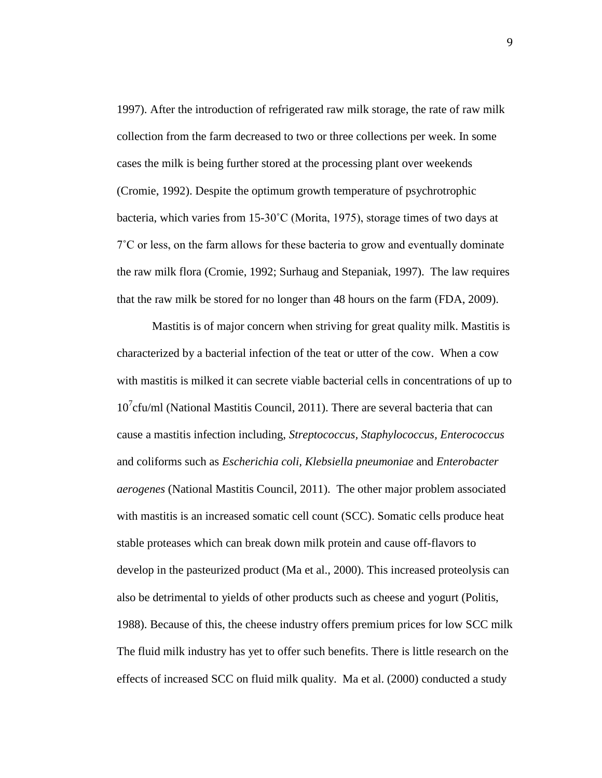1997). After the introduction of refrigerated raw milk storage, the rate of raw milk collection from the farm decreased to two or three collections per week. In some cases the milk is being further stored at the processing plant over weekends (Cromie, 1992). Despite the optimum growth temperature of psychrotrophic bacteria, which varies from 15-30˚C (Morita, 1975), storage times of two days at 7˚C or less, on the farm allows for these bacteria to grow and eventually dominate the raw milk flora (Cromie, 1992; Surhaug and Stepaniak, 1997). The law requires that the raw milk be stored for no longer than 48 hours on the farm (FDA, 2009).

Mastitis is of major concern when striving for great quality milk. Mastitis is characterized by a bacterial infection of the teat or utter of the cow. When a cow with mastitis is milked it can secrete viable bacterial cells in concentrations of up to 10<sup>7</sup> cfu/ml (National Mastitis Council, 2011). There are several bacteria that can cause a mastitis infection including, *Streptococcus, Staphylococcus, Enterococcus* and coliforms such as *Escherichia coli, Klebsiella pneumoniae* and *Enterobacter aerogenes* (National Mastitis Council, 2011). The other major problem associated with mastitis is an increased somatic cell count (SCC). Somatic cells produce heat stable proteases which can break down milk protein and cause off-flavors to develop in the pasteurized product (Ma et al., 2000). This increased proteolysis can also be detrimental to yields of other products such as cheese and yogurt (Politis, 1988). Because of this, the cheese industry offers premium prices for low SCC milk The fluid milk industry has yet to offer such benefits. There is little research on the effects of increased SCC on fluid milk quality. Ma et al. (2000) conducted a study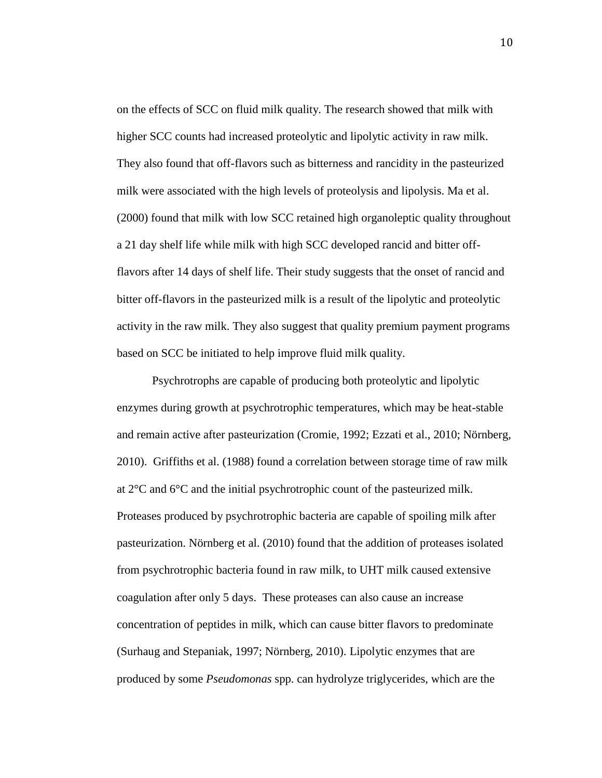on the effects of SCC on fluid milk quality. The research showed that milk with higher SCC counts had increased proteolytic and lipolytic activity in raw milk. They also found that off-flavors such as bitterness and rancidity in the pasteurized milk were associated with the high levels of proteolysis and lipolysis. Ma et al. (2000) found that milk with low SCC retained high organoleptic quality throughout a 21 day shelf life while milk with high SCC developed rancid and bitter offflavors after 14 days of shelf life. Their study suggests that the onset of rancid and bitter off-flavors in the pasteurized milk is a result of the lipolytic and proteolytic activity in the raw milk. They also suggest that quality premium payment programs based on SCC be initiated to help improve fluid milk quality.

Psychrotrophs are capable of producing both proteolytic and lipolytic enzymes during growth at psychrotrophic temperatures, which may be heat-stable and remain active after pasteurization (Cromie, 1992; Ezzati et al., 2010; Nörnberg, 2010). Griffiths et al. (1988) found a correlation between storage time of raw milk at 2°C and 6°C and the initial psychrotrophic count of the pasteurized milk. Proteases produced by psychrotrophic bacteria are capable of spoiling milk after pasteurization. Nörnberg et al. (2010) found that the addition of proteases isolated from psychrotrophic bacteria found in raw milk, to UHT milk caused extensive coagulation after only 5 days. These proteases can also cause an increase concentration of peptides in milk, which can cause bitter flavors to predominate (Surhaug and Stepaniak, 1997; Nörnberg, 2010). Lipolytic enzymes that are produced by some *Pseudomonas* spp. can hydrolyze triglycerides, which are the

10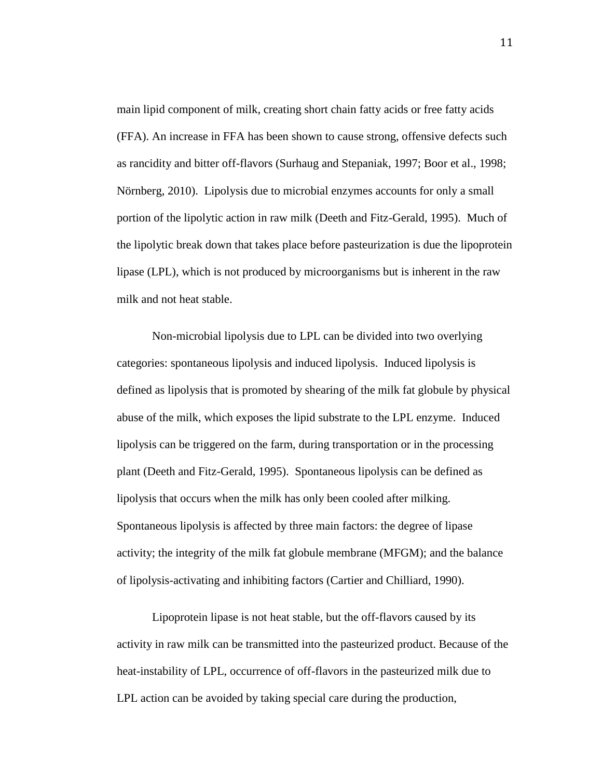main lipid component of milk, creating short chain fatty acids or free fatty acids (FFA). An increase in FFA has been shown to cause strong, offensive defects such as rancidity and bitter off-flavors (Surhaug and Stepaniak, 1997; Boor et al., 1998; Nörnberg, 2010). Lipolysis due to microbial enzymes accounts for only a small portion of the lipolytic action in raw milk (Deeth and Fitz-Gerald, 1995). Much of the lipolytic break down that takes place before pasteurization is due the lipoprotein lipase (LPL), which is not produced by microorganisms but is inherent in the raw milk and not heat stable.

Non-microbial lipolysis due to LPL can be divided into two overlying categories: spontaneous lipolysis and induced lipolysis. Induced lipolysis is defined as lipolysis that is promoted by shearing of the milk fat globule by physical abuse of the milk, which exposes the lipid substrate to the LPL enzyme. Induced lipolysis can be triggered on the farm, during transportation or in the processing plant (Deeth and Fitz-Gerald, 1995). Spontaneous lipolysis can be defined as lipolysis that occurs when the milk has only been cooled after milking. Spontaneous lipolysis is affected by three main factors: the degree of lipase activity; the integrity of the milk fat globule membrane (MFGM); and the balance of lipolysis-activating and inhibiting factors (Cartier and Chilliard, 1990).

Lipoprotein lipase is not heat stable, but the off-flavors caused by its activity in raw milk can be transmitted into the pasteurized product. Because of the heat-instability of LPL, occurrence of off-flavors in the pasteurized milk due to LPL action can be avoided by taking special care during the production,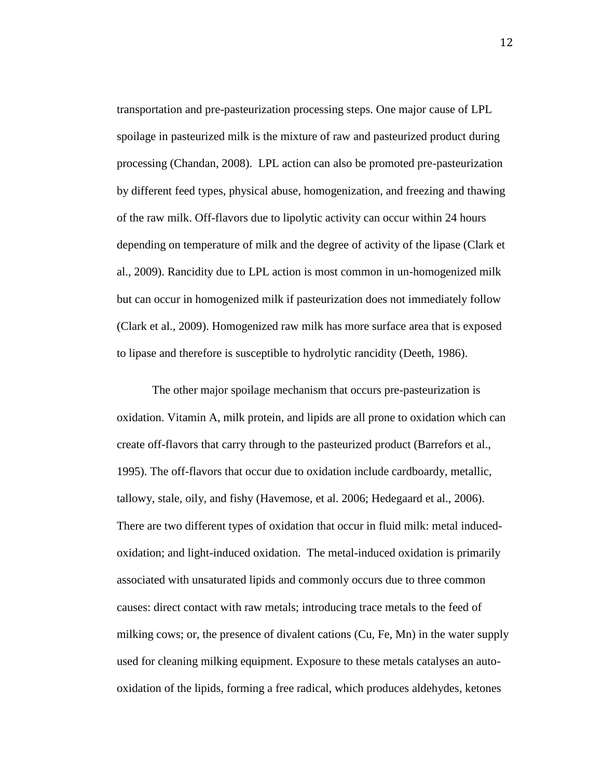transportation and pre-pasteurization processing steps. One major cause of LPL spoilage in pasteurized milk is the mixture of raw and pasteurized product during processing (Chandan, 2008). LPL action can also be promoted pre-pasteurization by different feed types, physical abuse, homogenization, and freezing and thawing of the raw milk. Off-flavors due to lipolytic activity can occur within 24 hours depending on temperature of milk and the degree of activity of the lipase (Clark et al., 2009). Rancidity due to LPL action is most common in un-homogenized milk but can occur in homogenized milk if pasteurization does not immediately follow (Clark et al., 2009). Homogenized raw milk has more surface area that is exposed to lipase and therefore is susceptible to hydrolytic rancidity (Deeth, 1986).

The other major spoilage mechanism that occurs pre-pasteurization is oxidation. Vitamin A, milk protein, and lipids are all prone to oxidation which can create off-flavors that carry through to the pasteurized product (Barrefors et al., 1995). The off-flavors that occur due to oxidation include cardboardy, metallic, tallowy, stale, oily, and fishy (Havemose, et al. 2006; Hedegaard et al., 2006). There are two different types of oxidation that occur in fluid milk: metal inducedoxidation; and light-induced oxidation. The metal-induced oxidation is primarily associated with unsaturated lipids and commonly occurs due to three common causes: direct contact with raw metals; introducing trace metals to the feed of milking cows; or, the presence of divalent cations (Cu, Fe, Mn) in the water supply used for cleaning milking equipment. Exposure to these metals catalyses an autooxidation of the lipids, forming a free radical, which produces aldehydes, ketones

12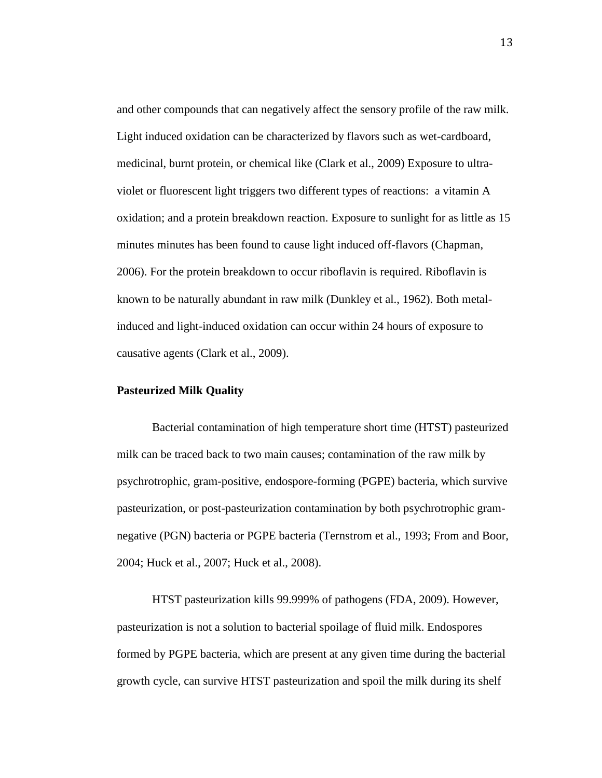and other compounds that can negatively affect the sensory profile of the raw milk. Light induced oxidation can be characterized by flavors such as wet-cardboard, medicinal, burnt protein, or chemical like (Clark et al., 2009) Exposure to ultraviolet or fluorescent light triggers two different types of reactions: a vitamin A oxidation; and a protein breakdown reaction. Exposure to sunlight for as little as 15 minutes minutes has been found to cause light induced off-flavors (Chapman, 2006). For the protein breakdown to occur riboflavin is required. Riboflavin is known to be naturally abundant in raw milk (Dunkley et al., 1962). Both metalinduced and light-induced oxidation can occur within 24 hours of exposure to causative agents (Clark et al., 2009).

#### **Pasteurized Milk Quality**

Bacterial contamination of high temperature short time (HTST) pasteurized milk can be traced back to two main causes; contamination of the raw milk by psychrotrophic, gram-positive, endospore-forming (PGPE) bacteria, which survive pasteurization, or post-pasteurization contamination by both psychrotrophic gramnegative (PGN) bacteria or PGPE bacteria (Ternstrom et al., 1993; From and Boor, 2004; Huck et al., 2007; Huck et al., 2008).

HTST pasteurization kills 99.999% of pathogens (FDA, 2009). However, pasteurization is not a solution to bacterial spoilage of fluid milk. Endospores formed by PGPE bacteria, which are present at any given time during the bacterial growth cycle, can survive HTST pasteurization and spoil the milk during its shelf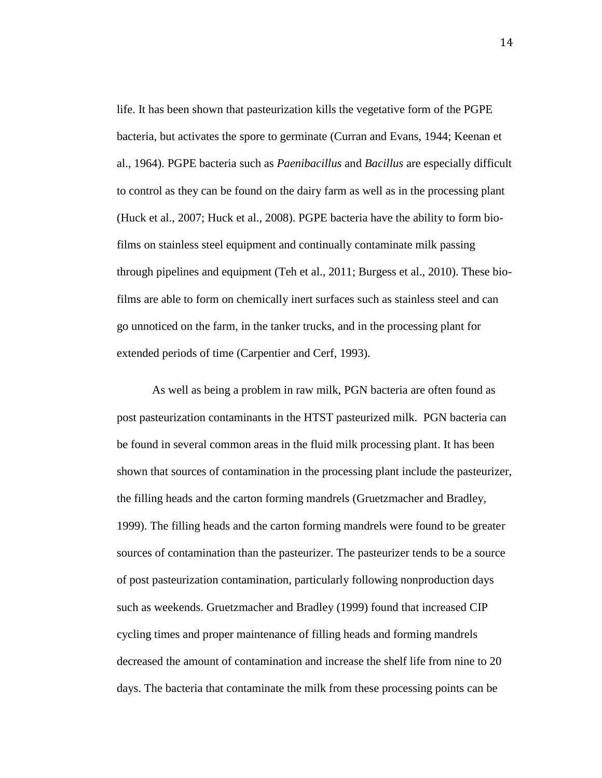life. It has been shown that pasteurization kills the vegetative form of the PGPE bacteria, but activates the spore to germinate (Curran and Evans, 1944; Keenan et al., 1964). PGPE bacteria such as *Paenibacillus* and *Bacillus* are especially difficult to control as they can be found on the dairy farm as well as in the processing plant (Huck et al., 2007; Huck et al., 2008). PGPE bacteria have the ability to form biofilms on stainless steel equipment and continually contaminate milk passing through pipelines and equipment (Teh et al., 2011; Burgess et al., 2010). These biofilms are able to form on chemically inert surfaces such as stainless steel and can go unnoticed on the farm, in the tanker trucks, and in the processing plant for extended periods of time (Carpentier and Cerf, 1993).

As well as being a problem in raw milk, PGN bacteria are often found as post pasteurization contaminants in the HTST pasteurized milk. PGN bacteria can be found in several common areas in the fluid milk processing plant. It has been shown that sources of contamination in the processing plant include the pasteurizer, the filling heads and the carton forming mandrels (Gruetzmacher and Bradley, 1999). The filling heads and the carton forming mandrels were found to be greater sources of contamination than the pasteurizer. The pasteurizer tends to be a source of post pasteurization contamination, particularly following nonproduction days such as weekends. Gruetzmacher and Bradley (1999) found that increased CIP cycling times and proper maintenance of filling heads and forming mandrels decreased the amount of contamination and increase the shelf life from nine to 20 days. The bacteria that contaminate the milk from these processing points can be

14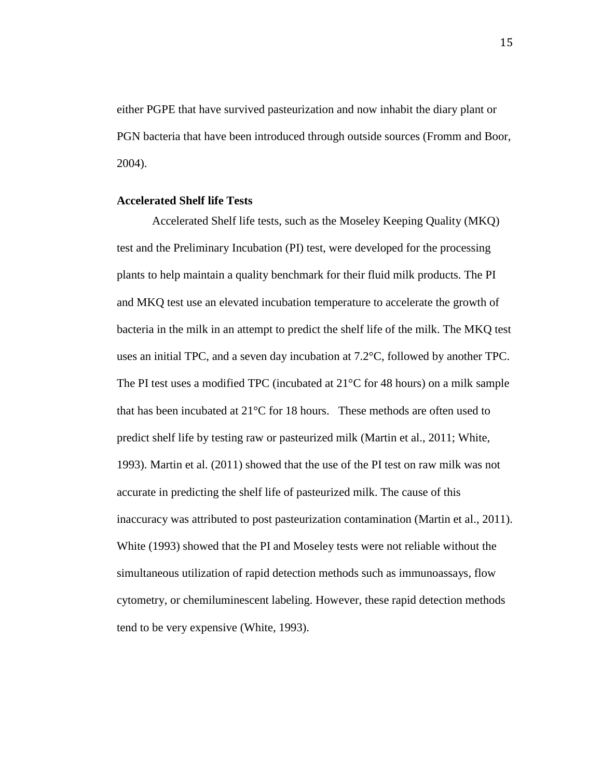either PGPE that have survived pasteurization and now inhabit the diary plant or PGN bacteria that have been introduced through outside sources (Fromm and Boor, 2004).

#### **Accelerated Shelf life Tests**

Accelerated Shelf life tests, such as the Moseley Keeping Quality (MKQ) test and the Preliminary Incubation (PI) test, were developed for the processing plants to help maintain a quality benchmark for their fluid milk products. The PI and MKQ test use an elevated incubation temperature to accelerate the growth of bacteria in the milk in an attempt to predict the shelf life of the milk. The MKQ test uses an initial TPC, and a seven day incubation at 7.2°C, followed by another TPC. The PI test uses a modified TPC (incubated at  $21^{\circ}$ C for 48 hours) on a milk sample that has been incubated at 21°C for 18 hours. These methods are often used to predict shelf life by testing raw or pasteurized milk (Martin et al., 2011; White, 1993). Martin et al. (2011) showed that the use of the PI test on raw milk was not accurate in predicting the shelf life of pasteurized milk. The cause of this inaccuracy was attributed to post pasteurization contamination (Martin et al., 2011). White (1993) showed that the PI and Moseley tests were not reliable without the simultaneous utilization of rapid detection methods such as immunoassays, flow cytometry, or chemiluminescent labeling. However, these rapid detection methods tend to be very expensive (White, 1993).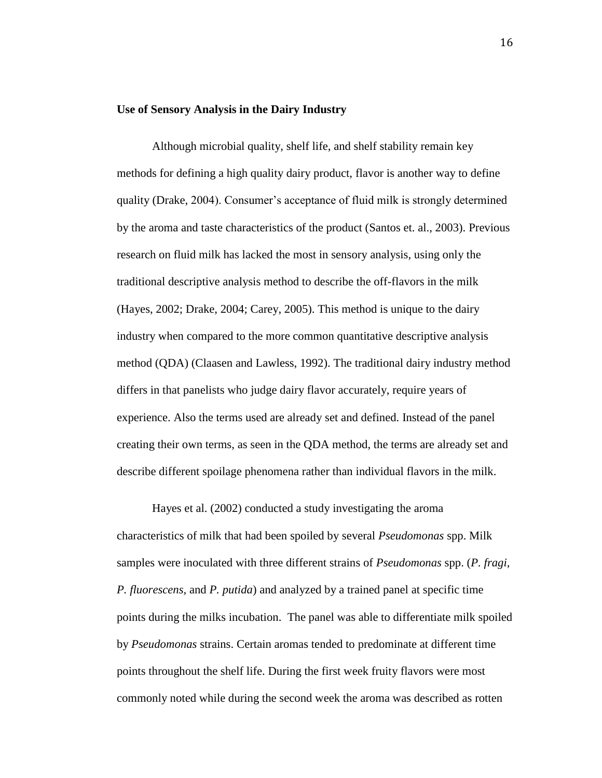#### **Use of Sensory Analysis in the Dairy Industry**

Although microbial quality, shelf life, and shelf stability remain key methods for defining a high quality dairy product, flavor is another way to define quality (Drake, 2004). Consumer's acceptance of fluid milk is strongly determined by the aroma and taste characteristics of the product (Santos et. al., 2003). Previous research on fluid milk has lacked the most in sensory analysis, using only the traditional descriptive analysis method to describe the off-flavors in the milk (Hayes, 2002; Drake, 2004; Carey, 2005). This method is unique to the dairy industry when compared to the more common quantitative descriptive analysis method (QDA) (Claasen and Lawless, 1992). The traditional dairy industry method differs in that panelists who judge dairy flavor accurately, require years of experience. Also the terms used are already set and defined. Instead of the panel creating their own terms, as seen in the QDA method, the terms are already set and describe different spoilage phenomena rather than individual flavors in the milk.

Hayes et al. (2002) conducted a study investigating the aroma characteristics of milk that had been spoiled by several *Pseudomonas* spp. Milk samples were inoculated with three different strains of *Pseudomonas* spp. (*P. fragi, P. fluorescens,* and *P. putida*) and analyzed by a trained panel at specific time points during the milks incubation. The panel was able to differentiate milk spoiled by *Pseudomonas* strains. Certain aromas tended to predominate at different time points throughout the shelf life. During the first week fruity flavors were most commonly noted while during the second week the aroma was described as rotten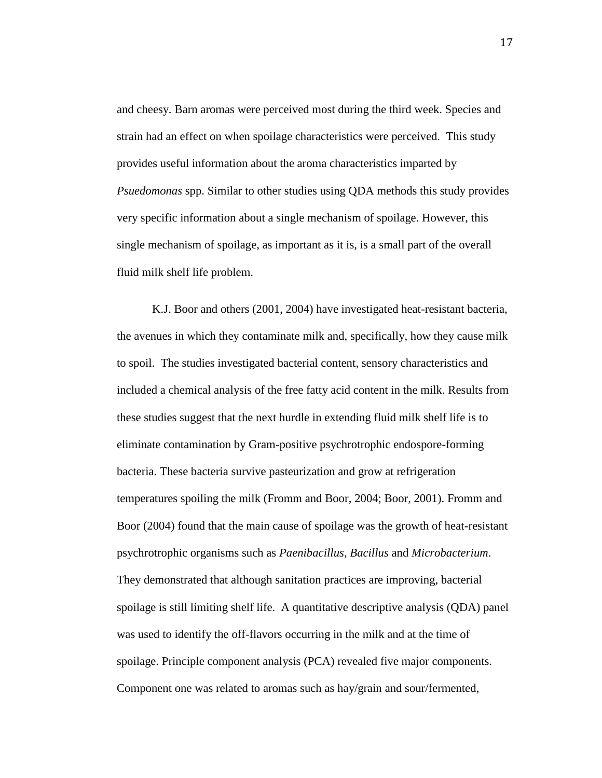and cheesy. Barn aromas were perceived most during the third week. Species and strain had an effect on when spoilage characteristics were perceived. This study provides useful information about the aroma characteristics imparted by *Psuedomonas* spp. Similar to other studies using QDA methods this study provides very specific information about a single mechanism of spoilage. However, this single mechanism of spoilage, as important as it is, is a small part of the overall fluid milk shelf life problem.

K.J. Boor and others (2001, 2004) have investigated heat-resistant bacteria, the avenues in which they contaminate milk and, specifically, how they cause milk to spoil. The studies investigated bacterial content, sensory characteristics and included a chemical analysis of the free fatty acid content in the milk. Results from these studies suggest that the next hurdle in extending fluid milk shelf life is to eliminate contamination by Gram-positive psychrotrophic endospore-forming bacteria. These bacteria survive pasteurization and grow at refrigeration temperatures spoiling the milk (Fromm and Boor, 2004; Boor, 2001). Fromm and Boor (2004) found that the main cause of spoilage was the growth of heat-resistant psychrotrophic organisms such as *Paenibacillus, Bacillus* and *Microbacterium*. They demonstrated that although sanitation practices are improving, bacterial spoilage is still limiting shelf life. A quantitative descriptive analysis (QDA) panel was used to identify the off-flavors occurring in the milk and at the time of spoilage. Principle component analysis (PCA) revealed five major components. Component one was related to aromas such as hay/grain and sour/fermented,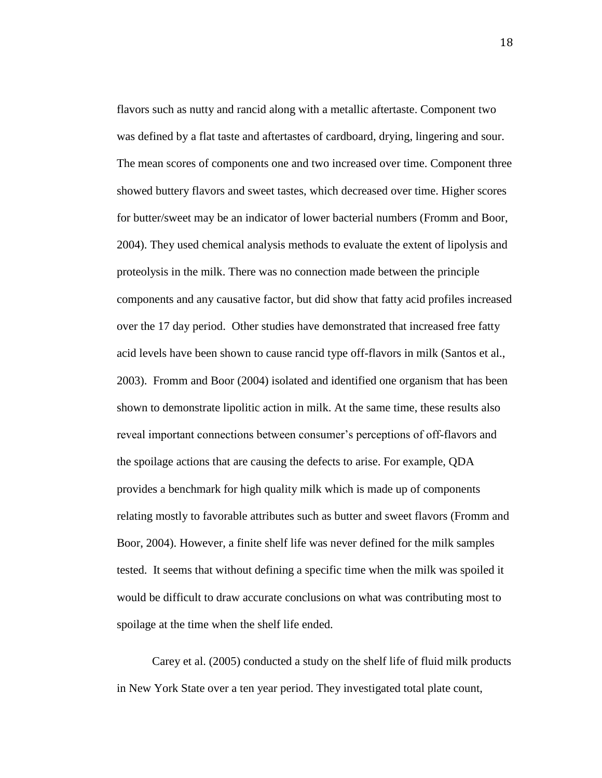flavors such as nutty and rancid along with a metallic aftertaste. Component two was defined by a flat taste and aftertastes of cardboard, drying, lingering and sour. The mean scores of components one and two increased over time. Component three showed buttery flavors and sweet tastes, which decreased over time. Higher scores for butter/sweet may be an indicator of lower bacterial numbers (Fromm and Boor, 2004). They used chemical analysis methods to evaluate the extent of lipolysis and proteolysis in the milk. There was no connection made between the principle components and any causative factor, but did show that fatty acid profiles increased over the 17 day period. Other studies have demonstrated that increased free fatty acid levels have been shown to cause rancid type off-flavors in milk (Santos et al., 2003). Fromm and Boor (2004) isolated and identified one organism that has been shown to demonstrate lipolitic action in milk. At the same time, these results also reveal important connections between consumer's perceptions of off-flavors and the spoilage actions that are causing the defects to arise. For example, QDA provides a benchmark for high quality milk which is made up of components relating mostly to favorable attributes such as butter and sweet flavors (Fromm and Boor, 2004). However, a finite shelf life was never defined for the milk samples tested. It seems that without defining a specific time when the milk was spoiled it would be difficult to draw accurate conclusions on what was contributing most to spoilage at the time when the shelf life ended.

Carey et al. (2005) conducted a study on the shelf life of fluid milk products in New York State over a ten year period. They investigated total plate count,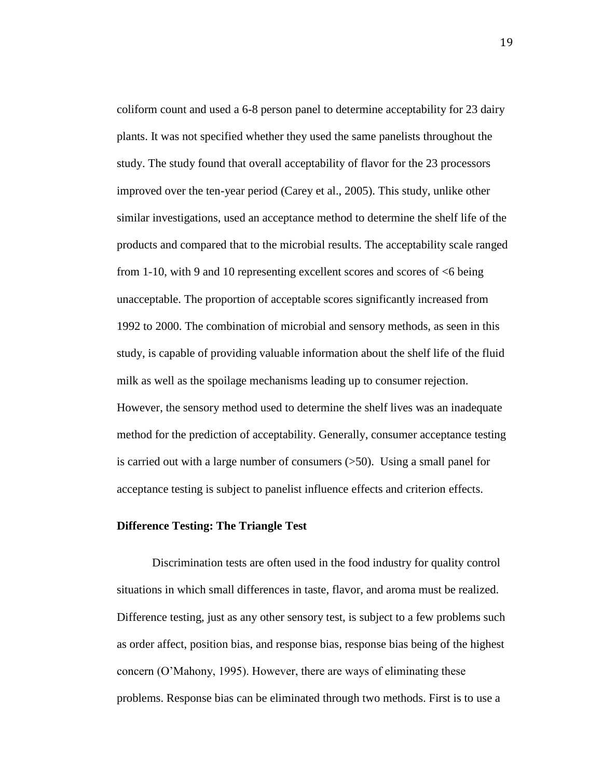coliform count and used a 6-8 person panel to determine acceptability for 23 dairy plants. It was not specified whether they used the same panelists throughout the study. The study found that overall acceptability of flavor for the 23 processors improved over the ten-year period (Carey et al., 2005). This study, unlike other similar investigations, used an acceptance method to determine the shelf life of the products and compared that to the microbial results. The acceptability scale ranged from 1-10, with 9 and 10 representing excellent scores and scores of <6 being unacceptable. The proportion of acceptable scores significantly increased from 1992 to 2000. The combination of microbial and sensory methods, as seen in this study, is capable of providing valuable information about the shelf life of the fluid milk as well as the spoilage mechanisms leading up to consumer rejection. However, the sensory method used to determine the shelf lives was an inadequate method for the prediction of acceptability. Generally, consumer acceptance testing is carried out with a large number of consumers (>50). Using a small panel for acceptance testing is subject to panelist influence effects and criterion effects.

#### **Difference Testing: The Triangle Test**

Discrimination tests are often used in the food industry for quality control situations in which small differences in taste, flavor, and aroma must be realized. Difference testing, just as any other sensory test, is subject to a few problems such as order affect, position bias, and response bias, response bias being of the highest concern (O'Mahony, 1995). However, there are ways of eliminating these problems. Response bias can be eliminated through two methods. First is to use a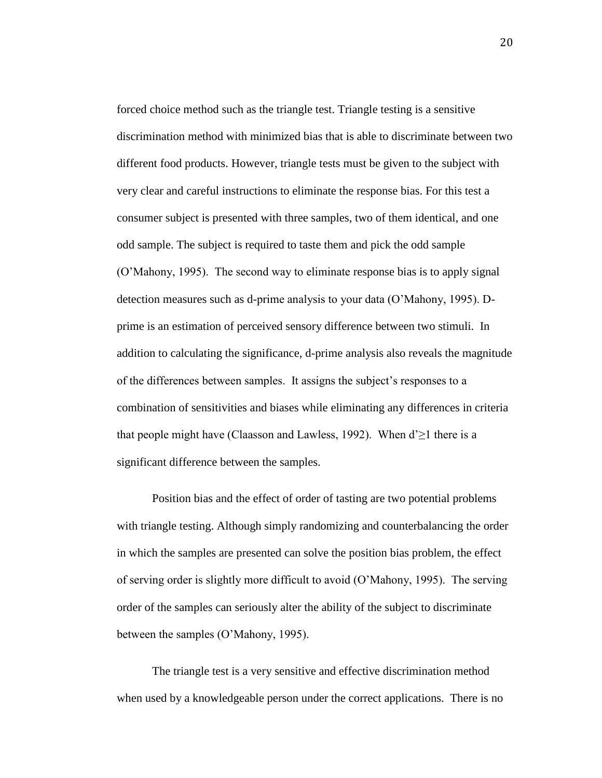forced choice method such as the triangle test. Triangle testing is a sensitive discrimination method with minimized bias that is able to discriminate between two different food products. However, triangle tests must be given to the subject with very clear and careful instructions to eliminate the response bias. For this test a consumer subject is presented with three samples, two of them identical, and one odd sample. The subject is required to taste them and pick the odd sample (O'Mahony, 1995). The second way to eliminate response bias is to apply signal detection measures such as d-prime analysis to your data (O'Mahony, 1995). Dprime is an estimation of perceived sensory difference between two stimuli. In addition to calculating the significance, d-prime analysis also reveals the magnitude of the differences between samples. It assigns the subject's responses to a combination of sensitivities and biases while eliminating any differences in criteria that people might have (Claasson and Lawless, 1992). When  $d \ge 1$  there is a significant difference between the samples.

Position bias and the effect of order of tasting are two potential problems with triangle testing. Although simply randomizing and counterbalancing the order in which the samples are presented can solve the position bias problem, the effect of serving order is slightly more difficult to avoid (O'Mahony, 1995). The serving order of the samples can seriously alter the ability of the subject to discriminate between the samples (O'Mahony, 1995).

The triangle test is a very sensitive and effective discrimination method when used by a knowledgeable person under the correct applications. There is no

20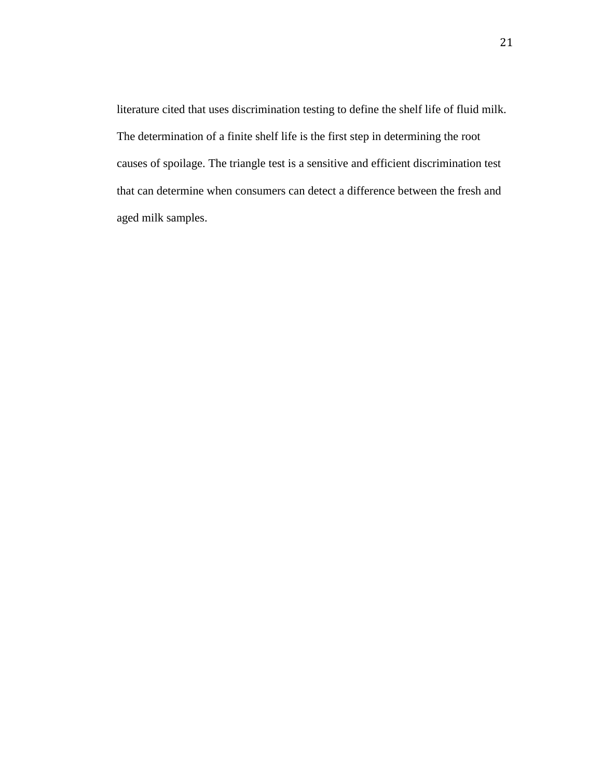literature cited that uses discrimination testing to define the shelf life of fluid milk. The determination of a finite shelf life is the first step in determining the root causes of spoilage. The triangle test is a sensitive and efficient discrimination test that can determine when consumers can detect a difference between the fresh and aged milk samples.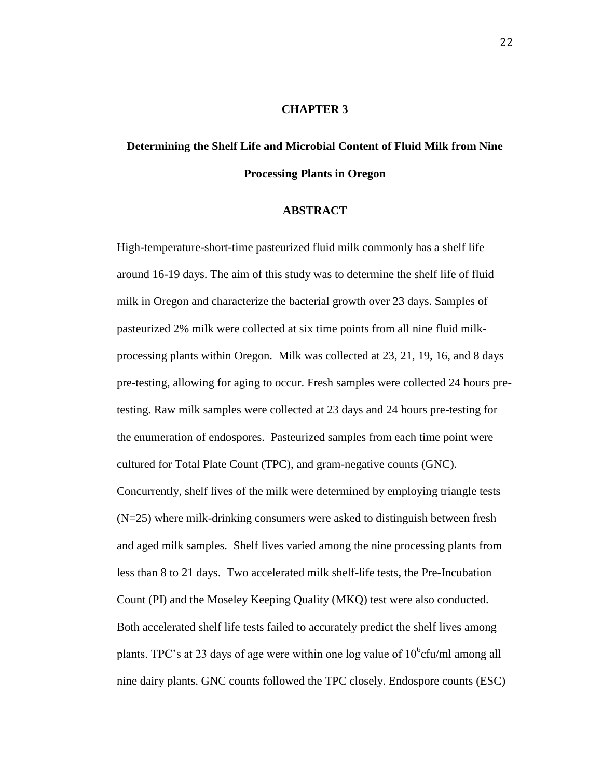#### **CHAPTER 3**

# **Determining the Shelf Life and Microbial Content of Fluid Milk from Nine Processing Plants in Oregon**

#### **ABSTRACT**

High-temperature-short-time pasteurized fluid milk commonly has a shelf life around 16-19 days. The aim of this study was to determine the shelf life of fluid milk in Oregon and characterize the bacterial growth over 23 days. Samples of pasteurized 2% milk were collected at six time points from all nine fluid milkprocessing plants within Oregon. Milk was collected at 23, 21, 19, 16, and 8 days pre-testing, allowing for aging to occur. Fresh samples were collected 24 hours pretesting. Raw milk samples were collected at 23 days and 24 hours pre-testing for the enumeration of endospores. Pasteurized samples from each time point were cultured for Total Plate Count (TPC), and gram-negative counts (GNC). Concurrently, shelf lives of the milk were determined by employing triangle tests (N=25) where milk-drinking consumers were asked to distinguish between fresh and aged milk samples. Shelf lives varied among the nine processing plants from less than 8 to 21 days. Two accelerated milk shelf-life tests, the Pre-Incubation Count (PI) and the Moseley Keeping Quality (MKQ) test were also conducted. Both accelerated shelf life tests failed to accurately predict the shelf lives among plants. TPC's at 23 days of age were within one log value of  $10^6$ cfu/ml among all nine dairy plants. GNC counts followed the TPC closely. Endospore counts (ESC)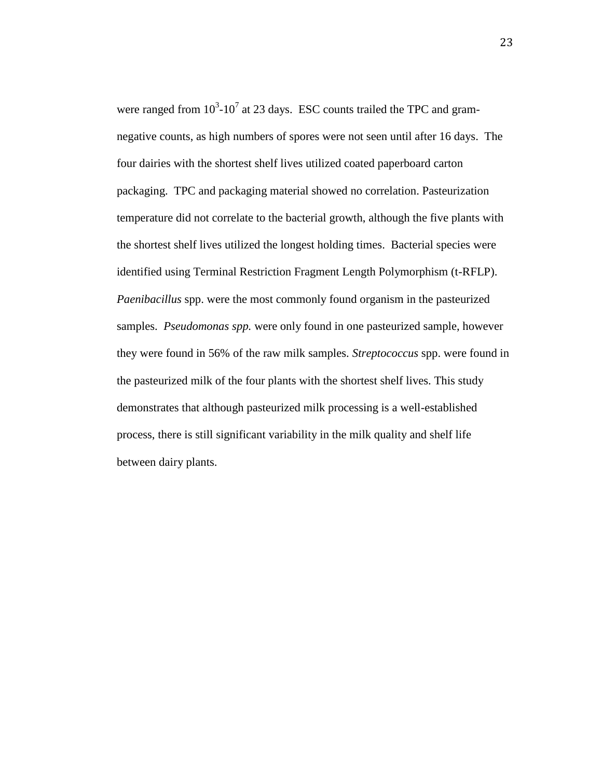were ranged from  $10^3$ -10<sup>7</sup> at 23 days. ESC counts trailed the TPC and gramnegative counts, as high numbers of spores were not seen until after 16 days. The four dairies with the shortest shelf lives utilized coated paperboard carton packaging. TPC and packaging material showed no correlation. Pasteurization temperature did not correlate to the bacterial growth, although the five plants with the shortest shelf lives utilized the longest holding times. Bacterial species were identified using Terminal Restriction Fragment Length Polymorphism (t-RFLP). *Paenibacillus* spp. were the most commonly found organism in the pasteurized samples. *Pseudomonas spp.* were only found in one pasteurized sample, however they were found in 56% of the raw milk samples. *Streptococcus* spp. were found in the pasteurized milk of the four plants with the shortest shelf lives. This study demonstrates that although pasteurized milk processing is a well-established process, there is still significant variability in the milk quality and shelf life between dairy plants.

23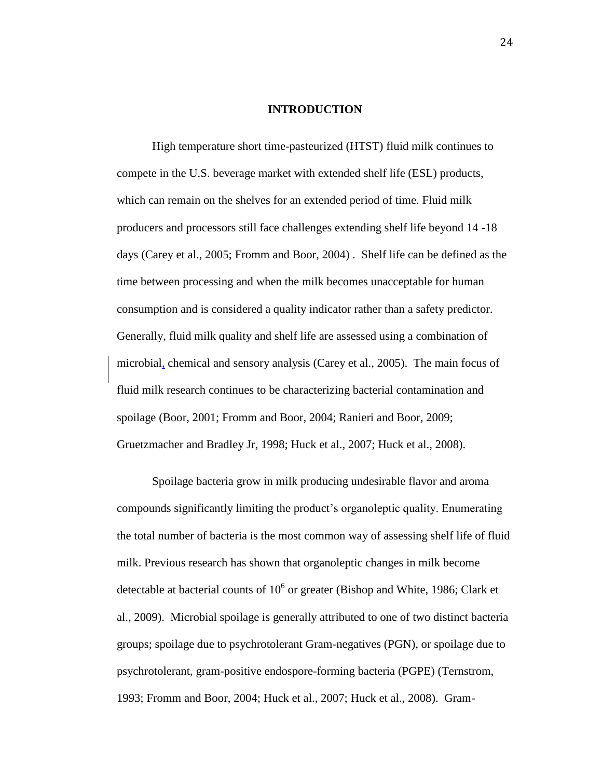#### **INTRODUCTION**

High temperature short time-pasteurized (HTST) fluid milk continues to compete in the U.S. beverage market with extended shelf life (ESL) products, which can remain on the shelves for an extended period of time. Fluid milk producers and processors still face challenges extending shelf life beyond 14 -18 days (Carey et al., 2005; Fromm and Boor, 2004) . Shelf life can be defined as the time between processing and when the milk becomes unacceptable for human consumption and is considered a quality indicator rather than a safety predictor. Generally, fluid milk quality and shelf life are assessed using a combination of microbial, chemical and sensory analysis (Carey et al., 2005). The main focus of fluid milk research continues to be characterizing bacterial contamination and spoilage (Boor, 2001; Fromm and Boor, 2004; Ranieri and Boor, 2009; Gruetzmacher and Bradley Jr, 1998; Huck et al., 2007; Huck et al., 2008).

Spoilage bacteria grow in milk producing undesirable flavor and aroma compounds significantly limiting the product's organoleptic quality. Enumerating the total number of bacteria is the most common way of assessing shelf life of fluid milk. Previous research has shown that organoleptic changes in milk become detectable at bacterial counts of  $10^6$  or greater (Bishop and White, 1986; Clark et al., 2009). Microbial spoilage is generally attributed to one of two distinct bacteria groups; spoilage due to psychrotolerant Gram-negatives (PGN), or spoilage due to psychrotolerant, gram-positive endospore-forming bacteria (PGPE) (Ternstrom, 1993; Fromm and Boor, 2004; Huck et al., 2007; Huck et al., 2008). Gram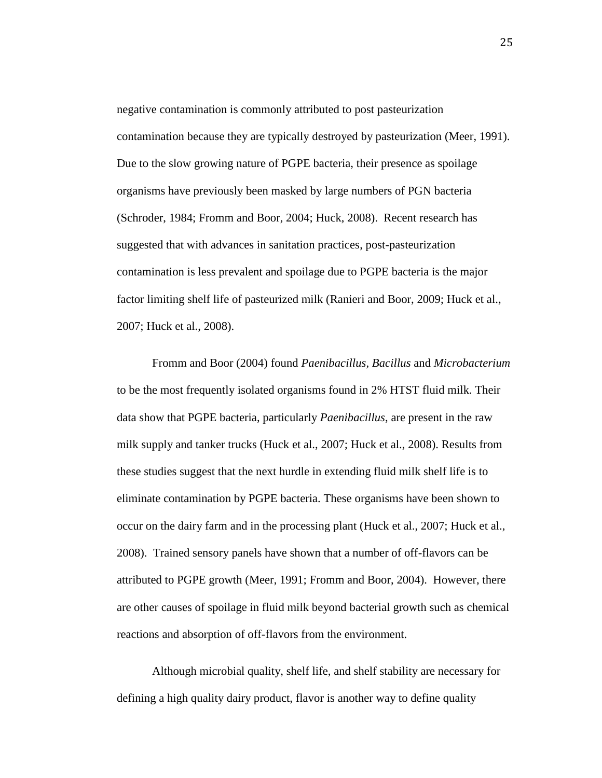negative contamination is commonly attributed to post pasteurization contamination because they are typically destroyed by pasteurization (Meer, 1991). Due to the slow growing nature of PGPE bacteria, their presence as spoilage organisms have previously been masked by large numbers of PGN bacteria (Schroder, 1984; Fromm and Boor, 2004; Huck, 2008). Recent research has suggested that with advances in sanitation practices, post-pasteurization contamination is less prevalent and spoilage due to PGPE bacteria is the major factor limiting shelf life of pasteurized milk (Ranieri and Boor, 2009; Huck et al., 2007; Huck et al., 2008).

Fromm and Boor (2004) found *Paenibacillus, Bacillus* and *Microbacterium* to be the most frequently isolated organisms found in 2% HTST fluid milk. Their data show that PGPE bacteria, particularly *Paenibacillus*, are present in the raw milk supply and tanker trucks (Huck et al., 2007; Huck et al., 2008). Results from these studies suggest that the next hurdle in extending fluid milk shelf life is to eliminate contamination by PGPE bacteria. These organisms have been shown to occur on the dairy farm and in the processing plant (Huck et al., 2007; Huck et al., 2008). Trained sensory panels have shown that a number of off-flavors can be attributed to PGPE growth (Meer, 1991; Fromm and Boor, 2004). However, there are other causes of spoilage in fluid milk beyond bacterial growth such as chemical reactions and absorption of off-flavors from the environment.

Although microbial quality, shelf life, and shelf stability are necessary for defining a high quality dairy product, flavor is another way to define quality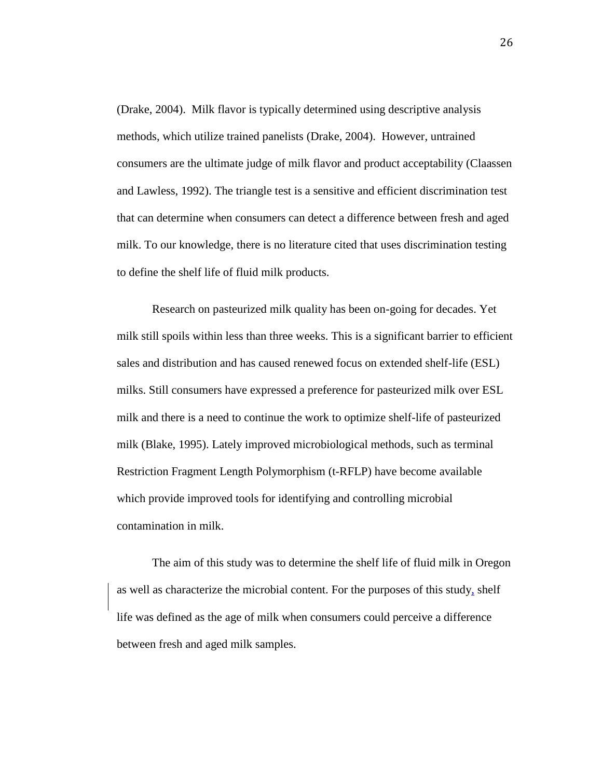(Drake, 2004). Milk flavor is typically determined using descriptive analysis methods, which utilize trained panelists (Drake, 2004). However, untrained consumers are the ultimate judge of milk flavor and product acceptability (Claassen and Lawless, 1992). The triangle test is a sensitive and efficient discrimination test that can determine when consumers can detect a difference between fresh and aged milk. To our knowledge, there is no literature cited that uses discrimination testing to define the shelf life of fluid milk products.

Research on pasteurized milk quality has been on-going for decades. Yet milk still spoils within less than three weeks. This is a significant barrier to efficient sales and distribution and has caused renewed focus on extended shelf-life (ESL) milks. Still consumers have expressed a preference for pasteurized milk over ESL milk and there is a need to continue the work to optimize shelf-life of pasteurized milk (Blake, 1995). Lately improved microbiological methods, such as terminal Restriction Fragment Length Polymorphism (t-RFLP) have become available which provide improved tools for identifying and controlling microbial contamination in milk.

The aim of this study was to determine the shelf life of fluid milk in Oregon as well as characterize the microbial content. For the purposes of this study, shelf life was defined as the age of milk when consumers could perceive a difference between fresh and aged milk samples.

26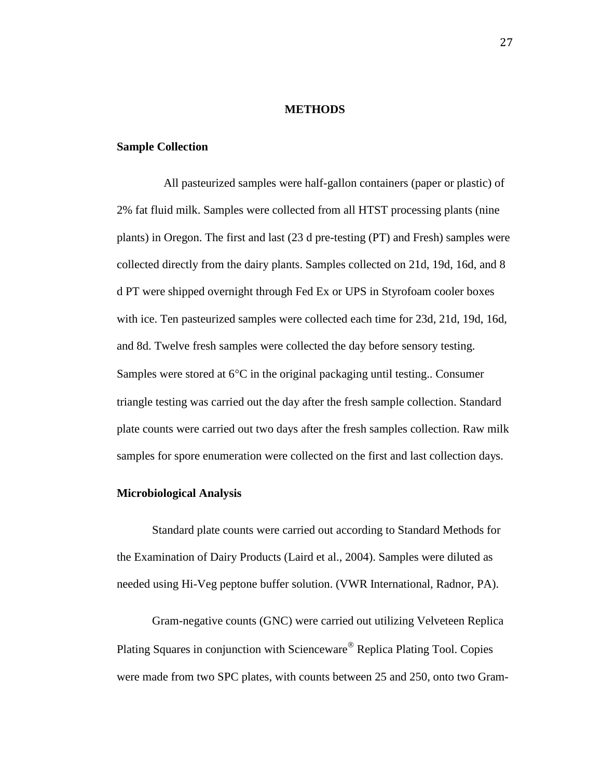#### **METHODS**

#### **Sample Collection**

All pasteurized samples were half-gallon containers (paper or plastic) of 2% fat fluid milk. Samples were collected from all HTST processing plants (nine plants) in Oregon. The first and last (23 d pre-testing (PT) and Fresh) samples were collected directly from the dairy plants. Samples collected on 21d, 19d, 16d, and 8 d PT were shipped overnight through Fed Ex or UPS in Styrofoam cooler boxes with ice. Ten pasteurized samples were collected each time for 23d, 21d, 19d, 16d, and 8d. Twelve fresh samples were collected the day before sensory testing. Samples were stored at  $6^{\circ}$ C in the original packaging until testing.. Consumer triangle testing was carried out the day after the fresh sample collection. Standard plate counts were carried out two days after the fresh samples collection. Raw milk samples for spore enumeration were collected on the first and last collection days.

#### **Microbiological Analysis**

Standard plate counts were carried out according to Standard Methods for the Examination of Dairy Products (Laird et al., 2004). Samples were diluted as needed using Hi-Veg peptone buffer solution. (VWR International, Radnor, PA).

Gram-negative counts (GNC) were carried out utilizing Velveteen Replica Plating Squares in conjunction with Scienceware<sup>®</sup> Replica Plating Tool. Copies were made from two SPC plates, with counts between 25 and 250, onto two Gram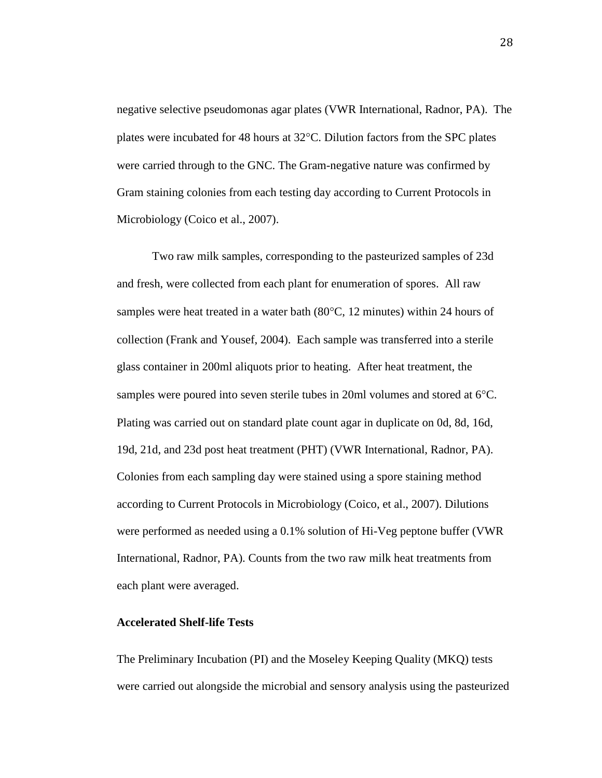negative selective pseudomonas agar plates (VWR International, Radnor, PA). The plates were incubated for 48 hours at  $32^{\circ}$ C. Dilution factors from the SPC plates were carried through to the GNC. The Gram-negative nature was confirmed by Gram staining colonies from each testing day according to Current Protocols in Microbiology (Coico et al., 2007).

Two raw milk samples, corresponding to the pasteurized samples of 23d and fresh, were collected from each plant for enumeration of spores. All raw samples were heat treated in a water bath  $(80^{\circ}C, 12 \text{ minutes})$  within 24 hours of collection (Frank and Yousef, 2004). Each sample was transferred into a sterile glass container in 200ml aliquots prior to heating. After heat treatment, the samples were poured into seven sterile tubes in 20ml volumes and stored at 6°C. Plating was carried out on standard plate count agar in duplicate on 0d, 8d, 16d, 19d, 21d, and 23d post heat treatment (PHT) (VWR International, Radnor, PA). Colonies from each sampling day were stained using a spore staining method according to Current Protocols in Microbiology (Coico, et al., 2007). Dilutions were performed as needed using a 0.1% solution of Hi-Veg peptone buffer (VWR International, Radnor, PA). Counts from the two raw milk heat treatments from each plant were averaged.

#### **Accelerated Shelf-life Tests**

The Preliminary Incubation (PI) and the Moseley Keeping Quality (MKQ) tests were carried out alongside the microbial and sensory analysis using the pasteurized

28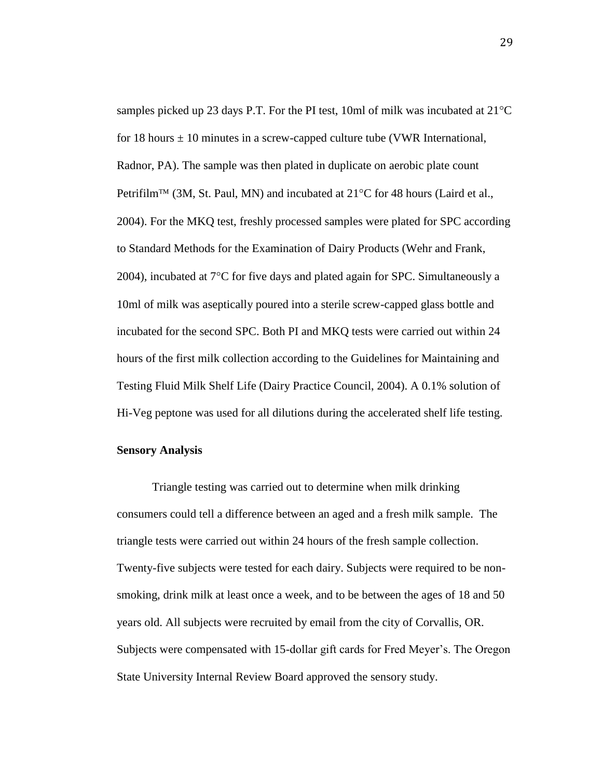samples picked up 23 days P.T. For the PI test, 10ml of milk was incubated at  $21^{\circ}$ C for 18 hours  $\pm$  10 minutes in a screw-capped culture tube (VWR International, Radnor, PA). The sample was then plated in duplicate on aerobic plate count Petrifilm<sup>TM</sup> (3M, St. Paul, MN) and incubated at  $21^{\circ}$ C for 48 hours (Laird et al., 2004). For the MKQ test, freshly processed samples were plated for SPC according to Standard Methods for the Examination of Dairy Products (Wehr and Frank, 2004), incubated at  $7^{\circ}$ C for five days and plated again for SPC. Simultaneously a 10ml of milk was aseptically poured into a sterile screw-capped glass bottle and incubated for the second SPC. Both PI and MKQ tests were carried out within 24 hours of the first milk collection according to the Guidelines for Maintaining and Testing Fluid Milk Shelf Life (Dairy Practice Council, 2004). A 0.1% solution of Hi-Veg peptone was used for all dilutions during the accelerated shelf life testing.

#### **Sensory Analysis**

Triangle testing was carried out to determine when milk drinking consumers could tell a difference between an aged and a fresh milk sample. The triangle tests were carried out within 24 hours of the fresh sample collection. Twenty-five subjects were tested for each dairy. Subjects were required to be nonsmoking, drink milk at least once a week, and to be between the ages of 18 and 50 years old. All subjects were recruited by email from the city of Corvallis, OR. Subjects were compensated with 15-dollar gift cards for Fred Meyer's. The Oregon State University Internal Review Board approved the sensory study.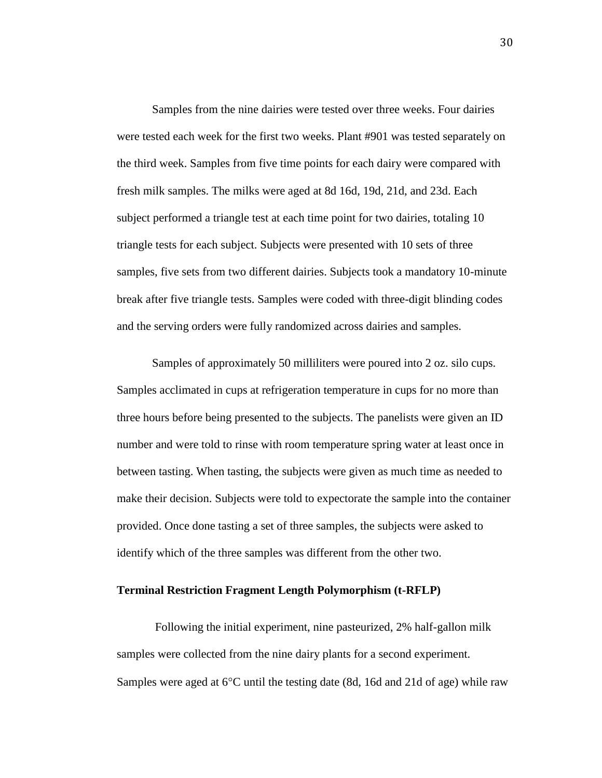Samples from the nine dairies were tested over three weeks. Four dairies were tested each week for the first two weeks. Plant #901 was tested separately on the third week. Samples from five time points for each dairy were compared with fresh milk samples. The milks were aged at 8d 16d, 19d, 21d, and 23d. Each subject performed a triangle test at each time point for two dairies, totaling 10 triangle tests for each subject. Subjects were presented with 10 sets of three samples, five sets from two different dairies. Subjects took a mandatory 10-minute break after five triangle tests. Samples were coded with three-digit blinding codes and the serving orders were fully randomized across dairies and samples.

Samples of approximately 50 milliliters were poured into 2 oz. silo cups. Samples acclimated in cups at refrigeration temperature in cups for no more than three hours before being presented to the subjects. The panelists were given an ID number and were told to rinse with room temperature spring water at least once in between tasting. When tasting, the subjects were given as much time as needed to make their decision. Subjects were told to expectorate the sample into the container provided. Once done tasting a set of three samples, the subjects were asked to identify which of the three samples was different from the other two.

#### **Terminal Restriction Fragment Length Polymorphism (t-RFLP)**

Following the initial experiment, nine pasteurized, 2% half-gallon milk samples were collected from the nine dairy plants for a second experiment. Samples were aged at  $6^{\circ}$ C until the testing date (8d, 16d and 21d of age) while raw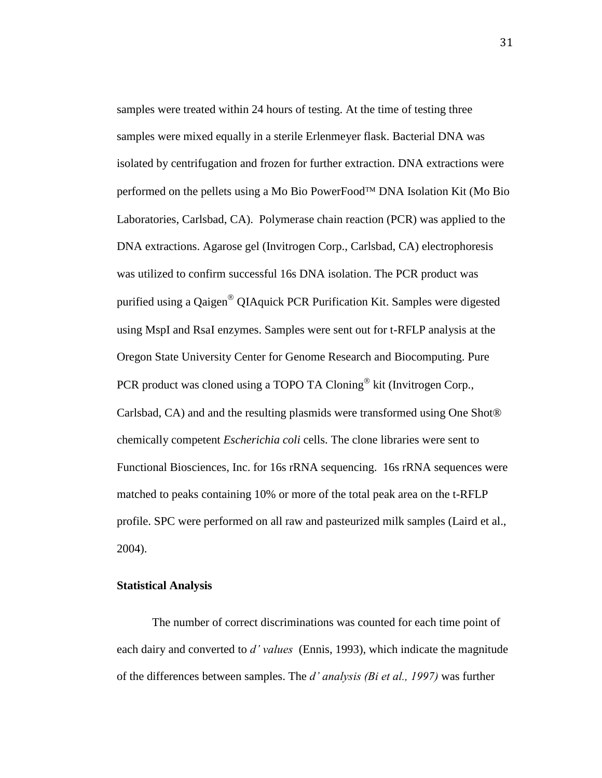samples were treated within 24 hours of testing. At the time of testing three samples were mixed equally in a sterile Erlenmeyer flask. Bacterial DNA was isolated by centrifugation and frozen for further extraction. DNA extractions were performed on the pellets using a Mo Bio PowerFood™ DNA Isolation Kit (Mo Bio Laboratories, Carlsbad, CA). Polymerase chain reaction (PCR) was applied to the DNA extractions. Agarose gel (Invitrogen Corp., Carlsbad, CA) electrophoresis was utilized to confirm successful 16s DNA isolation. The PCR product was purified using a Qaigen<sup>®</sup> QIAquick PCR Purification Kit. Samples were digested using MspI and RsaI enzymes. Samples were sent out for t-RFLP analysis at the Oregon State University Center for Genome Research and Biocomputing. Pure PCR product was cloned using a TOPO TA Cloning<sup>®</sup> kit (Invitrogen Corp., Carlsbad, CA) and and the resulting plasmids were transformed using One Shot® chemically competent *Escherichia coli* cells. The clone libraries were sent to Functional Biosciences, Inc. for 16s rRNA sequencing. 16s rRNA sequences were matched to peaks containing 10% or more of the total peak area on the t-RFLP profile. SPC were performed on all raw and pasteurized milk samples (Laird et al., 2004).

# **Statistical Analysis**

The number of correct discriminations was counted for each time point of each dairy and converted to *d' values* (Ennis, 1993), which indicate the magnitude of the differences between samples. The *d' analysis (Bi et al., 1997)* was further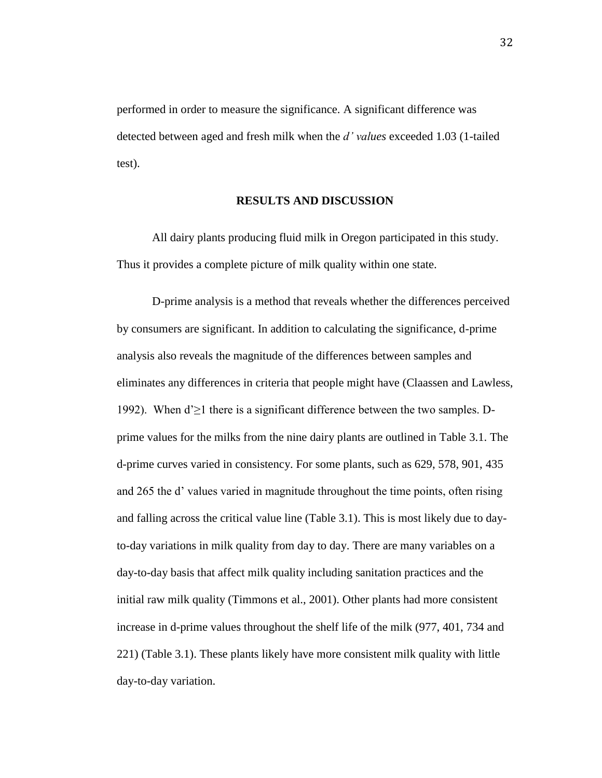performed in order to measure the significance. A significant difference was detected between aged and fresh milk when the *d' values* exceeded 1.03 (1-tailed test).

#### **RESULTS AND DISCUSSION**

All dairy plants producing fluid milk in Oregon participated in this study. Thus it provides a complete picture of milk quality within one state.

D-prime analysis is a method that reveals whether the differences perceived by consumers are significant. In addition to calculating the significance, d-prime analysis also reveals the magnitude of the differences between samples and eliminates any differences in criteria that people might have (Claassen and Lawless, 1992). When d'≥1 there is a significant difference between the two samples. Dprime values for the milks from the nine dairy plants are outlined in Table 3.1. The d-prime curves varied in consistency. For some plants, such as 629, 578, 901, 435 and 265 the d' values varied in magnitude throughout the time points, often rising and falling across the critical value line (Table 3.1). This is most likely due to dayto-day variations in milk quality from day to day. There are many variables on a day-to-day basis that affect milk quality including sanitation practices and the initial raw milk quality (Timmons et al., 2001). Other plants had more consistent increase in d-prime values throughout the shelf life of the milk (977, 401, 734 and 221) (Table 3.1). These plants likely have more consistent milk quality with little day-to-day variation.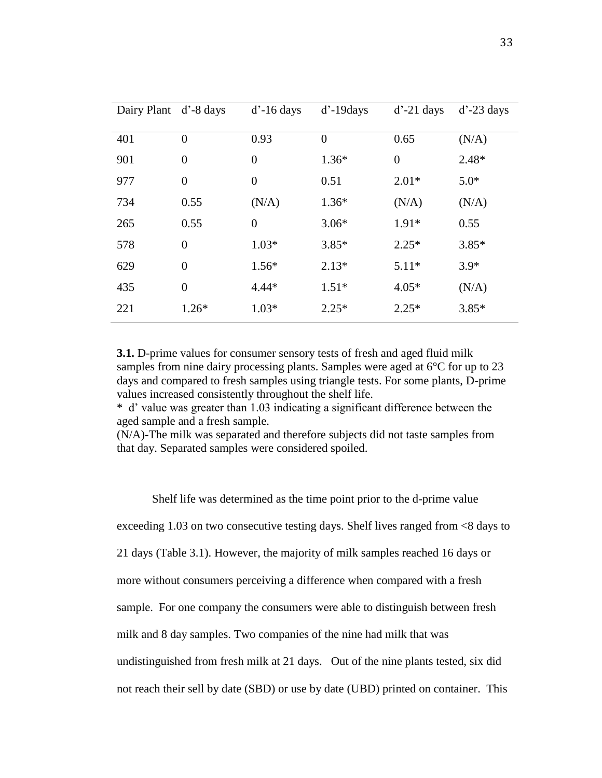| Dairy Plant d'-8 days |                | $d'$ -16 days    | $d'$ -19 $d$ ays | $d'$ -21 days  | $d'$ -23 days |
|-----------------------|----------------|------------------|------------------|----------------|---------------|
| 401                   | $\overline{0}$ | 0.93             | $\theta$         | 0.65           | (N/A)         |
| 901                   | $\overline{0}$ | $\boldsymbol{0}$ | $1.36*$          | $\overline{0}$ | $2.48*$       |
| 977                   | $\overline{0}$ | $\boldsymbol{0}$ | 0.51             | $2.01*$        | $5.0*$        |
| 734                   | 0.55           | (N/A)            | $1.36*$          | (N/A)          | (N/A)         |
| 265                   | 0.55           | $\boldsymbol{0}$ | $3.06*$          | $1.91*$        | 0.55          |
| 578                   | $\overline{0}$ | $1.03*$          | $3.85*$          | $2.25*$        | $3.85*$       |
| 629                   | $\overline{0}$ | $1.56*$          | $2.13*$          | $5.11*$        | $3.9*$        |
| 435                   | $\overline{0}$ | $4.44*$          | $1.51*$          | $4.05*$        | (N/A)         |
| 221                   | $1.26*$        | $1.03*$          | $2.25*$          | $2.25*$        | $3.85*$       |

**3.1.** D-prime values for consumer sensory tests of fresh and aged fluid milk samples from nine dairy processing plants. Samples were aged at 6°C for up to 23 days and compared to fresh samples using triangle tests. For some plants, D-prime values increased consistently throughout the shelf life.

\* d' value was greater than 1.03 indicating a significant difference between the aged sample and a fresh sample.

(N/A)-The milk was separated and therefore subjects did not taste samples from that day. Separated samples were considered spoiled.

Shelf life was determined as the time point prior to the d-prime value exceeding 1.03 on two consecutive testing days. Shelf lives ranged from <8 days to 21 days (Table 3.1). However, the majority of milk samples reached 16 days or more without consumers perceiving a difference when compared with a fresh sample. For one company the consumers were able to distinguish between fresh milk and 8 day samples. Two companies of the nine had milk that was undistinguished from fresh milk at 21 days. Out of the nine plants tested, six did not reach their sell by date (SBD) or use by date (UBD) printed on container. This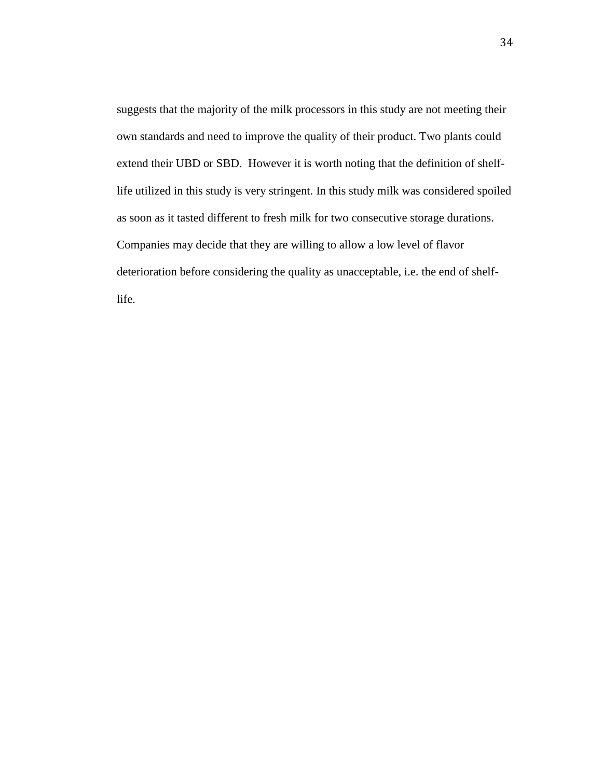suggests that the majority of the milk processors in this study are not meeting their own standards and need to improve the quality of their product. Two plants could extend their UBD or SBD. However it is worth noting that the definition of shelflife utilized in this study is very stringent. In this study milk was considered spoiled as soon as it tasted different to fresh milk for two consecutive storage durations. Companies may decide that they are willing to allow a low level of flavor deterioration before considering the quality as unacceptable, i.e. the end of shelflife.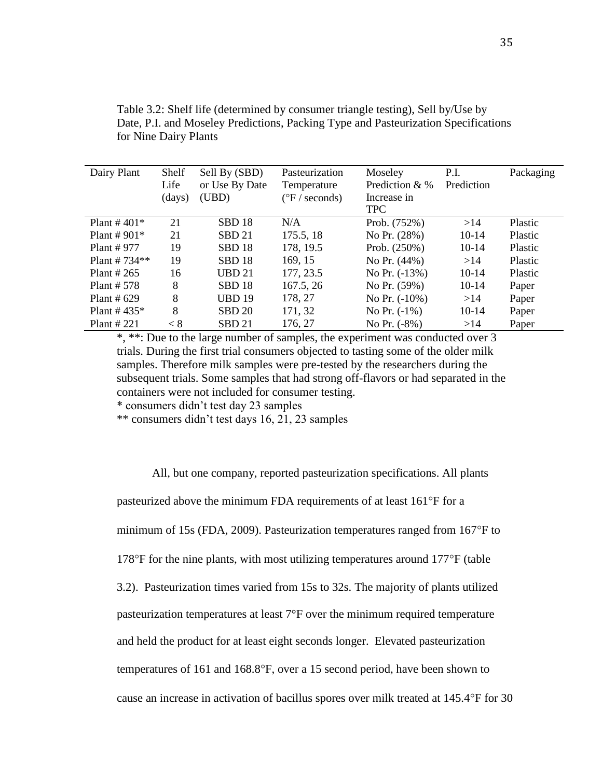| Dairy Plant     | Shelf  | Sell By (SBD)     | Pasteurization            | Moseley          | P.I.       | Packaging |
|-----------------|--------|-------------------|---------------------------|------------------|------------|-----------|
|                 | Life   | or Use By Date    | Temperature               | Prediction $&$ % | Prediction |           |
|                 | (days) | (UBD)             | $({}^{\circ}F$ / seconds) | Increase in      |            |           |
|                 |        |                   |                           | <b>TPC</b>       |            |           |
| Plant # $401*$  | 21     | SBD <sub>18</sub> | N/A                       | Prob. (752%)     | >14        | Plastic   |
| Plant # $901*$  | 21     | SBD <sub>21</sub> | 175.5, 18                 | No Pr. (28%)     | $10-14$    | Plastic   |
| Plant # $977$   | 19     | SBD <sub>18</sub> | 178, 19.5                 | Prob. (250%)     | $10-14$    | Plastic   |
| Plant # $734**$ | 19     | SBD <sub>18</sub> | 169, 15                   | No Pr. (44%)     | >14        | Plastic   |
| Plant # $265$   | 16     | <b>UBD 21</b>     | 177, 23.5                 | No Pr. $(-13%)$  | $10-14$    | Plastic   |
| Plant $# 578$   | 8      | SBD <sub>18</sub> | 167.5, 26                 | No Pr. (59%)     | $10-14$    | Paper     |
| Plant # $629$   | 8      | <b>UBD 19</b>     | 178, 27                   | No Pr. $(-10\%)$ | >14        | Paper     |
| Plant # $435*$  | 8      | <b>SBD 20</b>     | 171, 32                   | No Pr. $(-1%)$   | $10-14$    | Paper     |
| Plant $\#$ 221  | < 8    | <b>SBD 21</b>     | 176, 27                   | No Pr. $(-8%)$   | >14        | Paper     |

Table 3.2: Shelf life (determined by consumer triangle testing), Sell by/Use by Date, P.I. and Moseley Predictions, Packing Type and Pasteurization Specifications for Nine Dairy Plants

\*, \*\*: Due to the large number of samples, the experiment was conducted over 3 trials. During the first trial consumers objected to tasting some of the older milk samples. Therefore milk samples were pre-tested by the researchers during the subsequent trials. Some samples that had strong off-flavors or had separated in the containers were not included for consumer testing.

\* consumers didn't test day 23 samples

\*\* consumers didn't test days 16, 21, 23 samples

All, but one company, reported pasteurization specifications. All plants

pasteurized above the minimum FDA requirements of at least  $161^{\circ}$ F for a

minimum of 15s (FDA, 2009). Pasteurization temperatures ranged from  $167^{\circ}$ F to

178 $\degree$ F for the nine plants, with most utilizing temperatures around 177 $\degree$ F (table

3.2). Pasteurization times varied from 15s to 32s. The majority of plants utilized

pasteurization temperatures at least 7°F over the minimum required temperature

and held the product for at least eight seconds longer. Elevated pasteurization

temperatures of 161 and 168.8°F, over a 15 second period, have been shown to

cause an increase in activation of bacillus spores over milk treated at 145.4°F for 30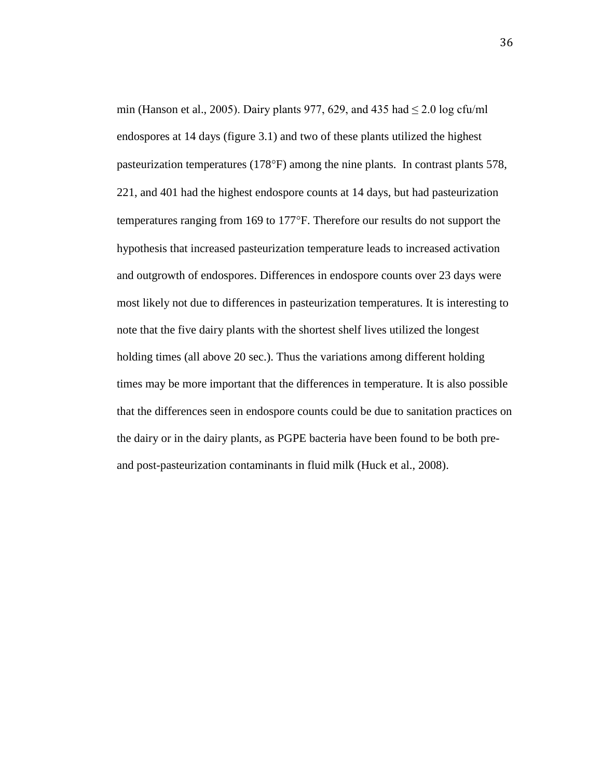min (Hanson et al., 2005). Dairy plants 977, 629, and 435 had  $\leq$  2.0 log cfu/ml endospores at 14 days (figure 3.1) and two of these plants utilized the highest pasteurization temperatures (178°F) among the nine plants. In contrast plants 578, 221, and 401 had the highest endospore counts at 14 days, but had pasteurization temperatures ranging from 169 to 177°F. Therefore our results do not support the hypothesis that increased pasteurization temperature leads to increased activation and outgrowth of endospores. Differences in endospore counts over 23 days were most likely not due to differences in pasteurization temperatures. It is interesting to note that the five dairy plants with the shortest shelf lives utilized the longest holding times (all above 20 sec.). Thus the variations among different holding times may be more important that the differences in temperature. It is also possible that the differences seen in endospore counts could be due to sanitation practices on the dairy or in the dairy plants, as PGPE bacteria have been found to be both preand post-pasteurization contaminants in fluid milk (Huck et al., 2008).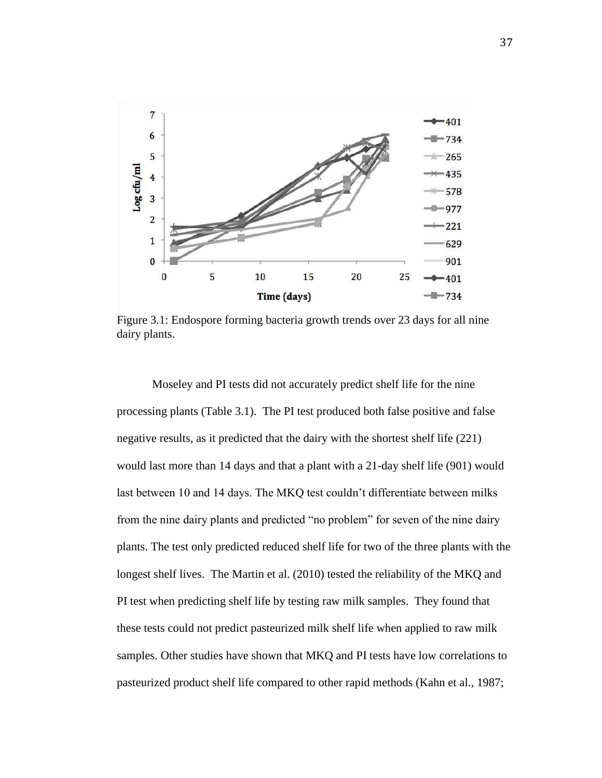

Figure 3.1: Endospore forming bacteria growth trends over 23 days for all nine dairy plants.

Moseley and PI tests did not accurately predict shelf life for the nine processing plants (Table 3.1). The PI test produced both false positive and false negative results, as it predicted that the dairy with the shortest shelf life (221) would last more than 14 days and that a plant with a 21-day shelf life (901) would last between 10 and 14 days. The MKQ test couldn't differentiate between milks from the nine dairy plants and predicted "no problem" for seven of the nine dairy plants. The test only predicted reduced shelf life for two of the three plants with the longest shelf lives. The Martin et al. (2010) tested the reliability of the MKQ and PI test when predicting shelf life by testing raw milk samples. They found that these tests could not predict pasteurized milk shelf life when applied to raw milk samples. Other studies have shown that MKQ and PI tests have low correlations to pasteurized product shelf life compared to other rapid methods (Kahn et al., 1987;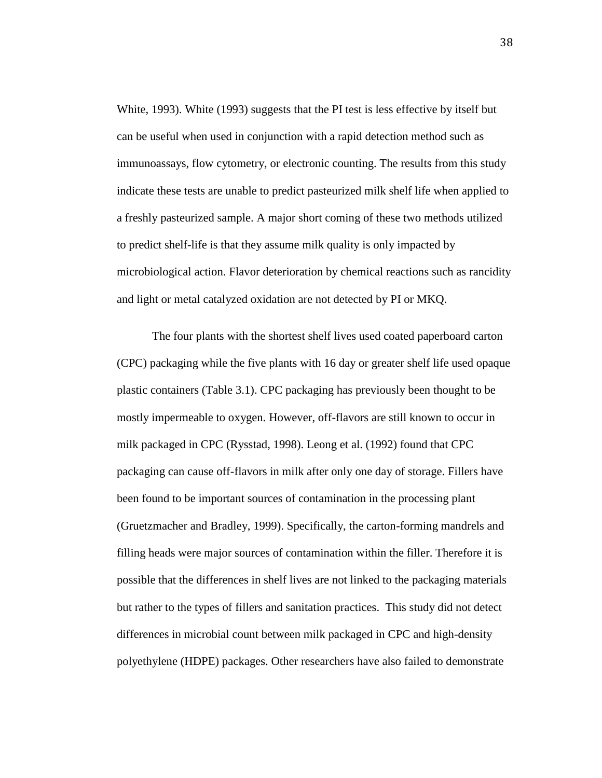White, 1993). White (1993) suggests that the PI test is less effective by itself but can be useful when used in conjunction with a rapid detection method such as immunoassays, flow cytometry, or electronic counting. The results from this study indicate these tests are unable to predict pasteurized milk shelf life when applied to a freshly pasteurized sample. A major short coming of these two methods utilized to predict shelf-life is that they assume milk quality is only impacted by microbiological action. Flavor deterioration by chemical reactions such as rancidity and light or metal catalyzed oxidation are not detected by PI or MKQ.

The four plants with the shortest shelf lives used coated paperboard carton (CPC) packaging while the five plants with 16 day or greater shelf life used opaque plastic containers (Table 3.1). CPC packaging has previously been thought to be mostly impermeable to oxygen. However, off-flavors are still known to occur in milk packaged in CPC (Rysstad, 1998). Leong et al. (1992) found that CPC packaging can cause off-flavors in milk after only one day of storage. Fillers have been found to be important sources of contamination in the processing plant (Gruetzmacher and Bradley, 1999). Specifically, the carton-forming mandrels and filling heads were major sources of contamination within the filler. Therefore it is possible that the differences in shelf lives are not linked to the packaging materials but rather to the types of fillers and sanitation practices. This study did not detect differences in microbial count between milk packaged in CPC and high-density polyethylene (HDPE) packages. Other researchers have also failed to demonstrate

38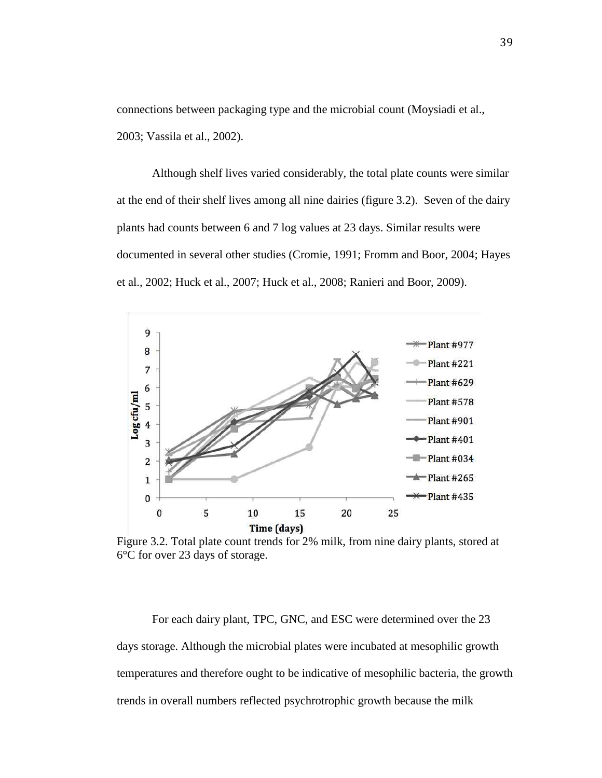connections between packaging type and the microbial count (Moysiadi et al., 2003; Vassila et al., 2002).

Although shelf lives varied considerably, the total plate counts were similar at the end of their shelf lives among all nine dairies (figure 3.2). Seven of the dairy plants had counts between 6 and 7 log values at 23 days. Similar results were documented in several other studies (Cromie, 1991; Fromm and Boor, 2004; Hayes et al., 2002; Huck et al., 2007; Huck et al., 2008; Ranieri and Boor, 2009).



Figure 3.2. Total plate count trends for 2% milk, from nine dairy plants, stored at 6°C for over 23 days of storage.

For each dairy plant, TPC, GNC, and ESC were determined over the 23 days storage. Although the microbial plates were incubated at mesophilic growth temperatures and therefore ought to be indicative of mesophilic bacteria, the growth trends in overall numbers reflected psychrotrophic growth because the milk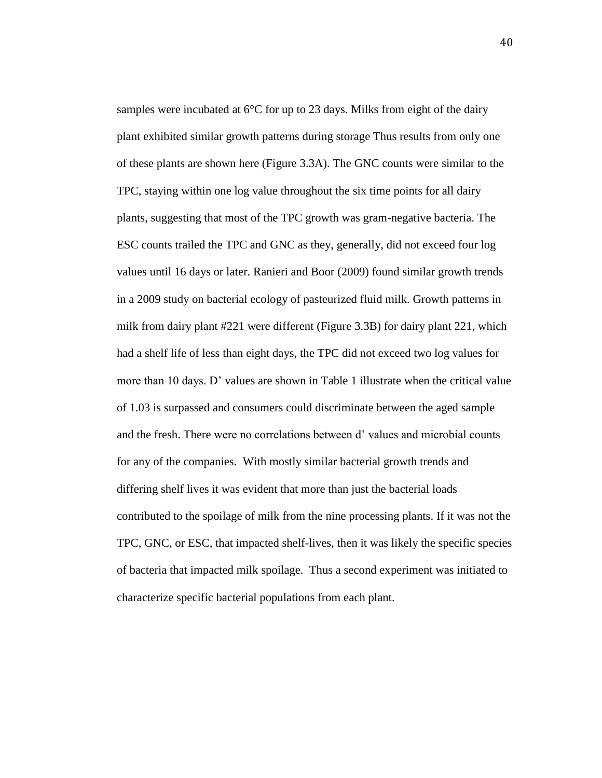samples were incubated at 6°C for up to 23 days. Milks from eight of the dairy plant exhibited similar growth patterns during storage Thus results from only one of these plants are shown here (Figure 3.3A). The GNC counts were similar to the TPC, staying within one log value throughout the six time points for all dairy plants, suggesting that most of the TPC growth was gram-negative bacteria. The ESC counts trailed the TPC and GNC as they, generally, did not exceed four log values until 16 days or later. Ranieri and Boor (2009) found similar growth trends in a 2009 study on bacterial ecology of pasteurized fluid milk. Growth patterns in milk from dairy plant #221 were different (Figure 3.3B) for dairy plant 221, which had a shelf life of less than eight days, the TPC did not exceed two log values for more than 10 days. D' values are shown in Table 1 illustrate when the critical value of 1.03 is surpassed and consumers could discriminate between the aged sample and the fresh. There were no correlations between d' values and microbial counts for any of the companies. With mostly similar bacterial growth trends and differing shelf lives it was evident that more than just the bacterial loads contributed to the spoilage of milk from the nine processing plants. If it was not the TPC, GNC, or ESC, that impacted shelf-lives, then it was likely the specific species of bacteria that impacted milk spoilage. Thus a second experiment was initiated to characterize specific bacterial populations from each plant.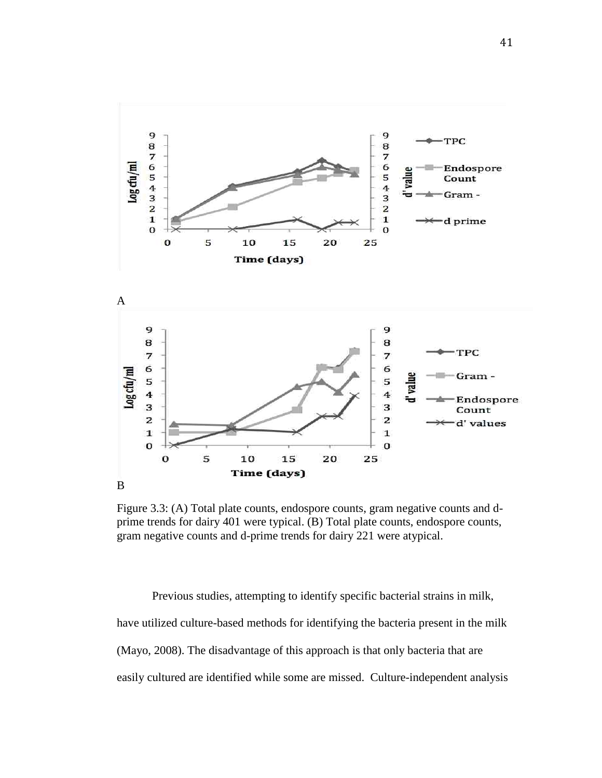

Figure 3.3: (A) Total plate counts, endospore counts, gram negative counts and dprime trends for dairy 401 were typical. (B) Total plate counts, endospore counts, gram negative counts and d-prime trends for dairy 221 were atypical.

Previous studies, attempting to identify specific bacterial strains in milk, have utilized culture-based methods for identifying the bacteria present in the milk (Mayo, 2008). The disadvantage of this approach is that only bacteria that are easily cultured are identified while some are missed. Culture-independent analysis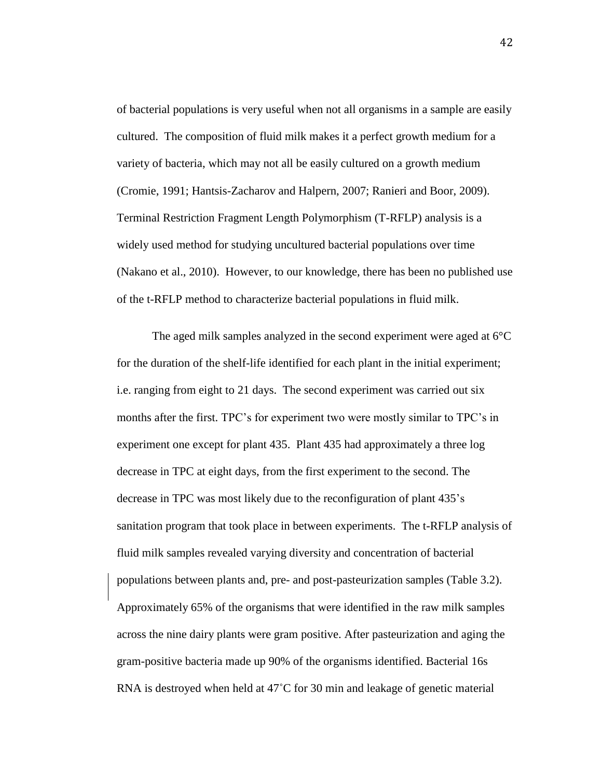of bacterial populations is very useful when not all organisms in a sample are easily cultured. The composition of fluid milk makes it a perfect growth medium for a variety of bacteria, which may not all be easily cultured on a growth medium (Cromie, 1991; Hantsis-Zacharov and Halpern, 2007; Ranieri and Boor, 2009). Terminal Restriction Fragment Length Polymorphism (T-RFLP) analysis is a widely used method for studying uncultured bacterial populations over time (Nakano et al., 2010). However, to our knowledge, there has been no published use of the t-RFLP method to characterize bacterial populations in fluid milk.

The aged milk samples analyzed in the second experiment were aged at 6°C for the duration of the shelf-life identified for each plant in the initial experiment; i.e. ranging from eight to 21 days. The second experiment was carried out six months after the first. TPC's for experiment two were mostly similar to TPC's in experiment one except for plant 435. Plant 435 had approximately a three log decrease in TPC at eight days, from the first experiment to the second. The decrease in TPC was most likely due to the reconfiguration of plant 435's sanitation program that took place in between experiments. The t-RFLP analysis of fluid milk samples revealed varying diversity and concentration of bacterial populations between plants and, pre- and post-pasteurization samples (Table 3.2). Approximately 65% of the organisms that were identified in the raw milk samples across the nine dairy plants were gram positive. After pasteurization and aging the gram-positive bacteria made up 90% of the organisms identified. Bacterial 16s RNA is destroyed when held at 47˚C for 30 min and leakage of genetic material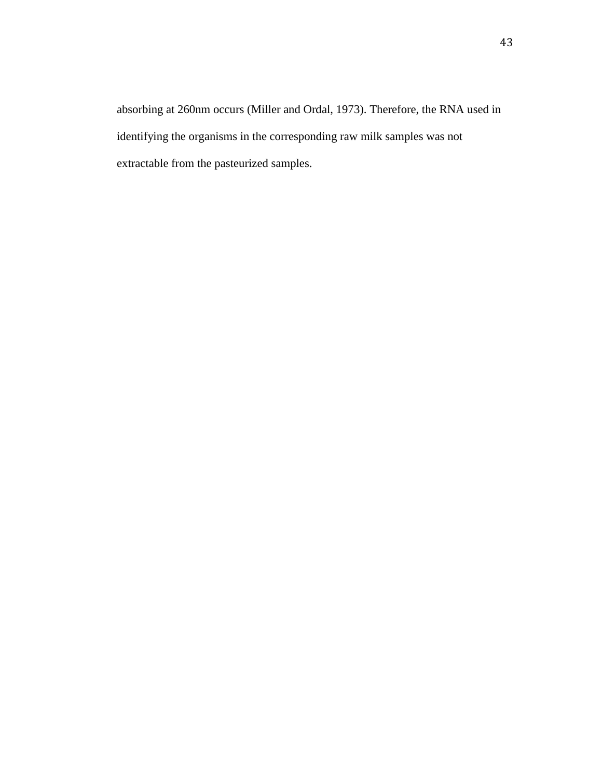absorbing at 260nm occurs (Miller and Ordal, 1973). Therefore, the RNA used in identifying the organisms in the corresponding raw milk samples was not extractable from the pasteurized samples.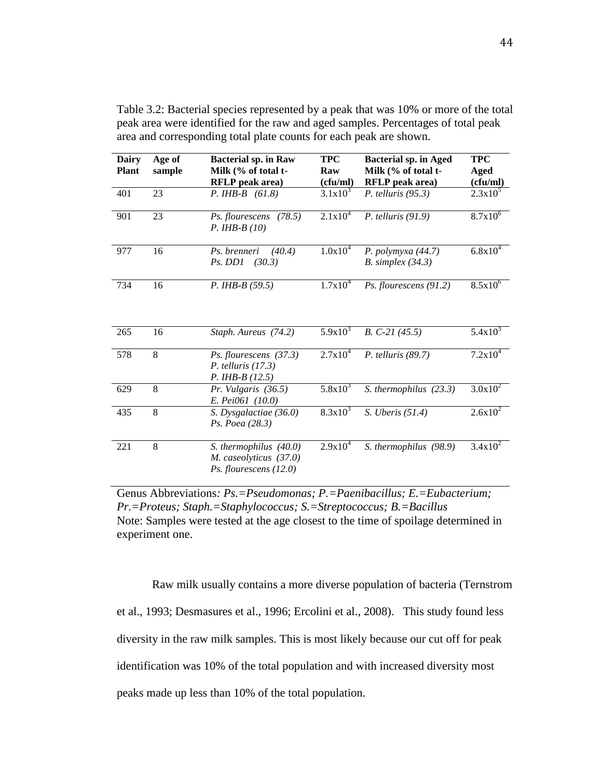| <b>Dairy</b><br><b>Plant</b> | Age of<br>sample | <b>Bacterial sp. in Raw</b><br>Milk (% of total t-<br><b>RFLP</b> peak area) | <b>TPC</b><br>Raw<br>(cfu/ml) | <b>Bacterial sp. in Aged</b><br>Milk (% of total t-<br><b>RFLP</b> peak area) | <b>TPC</b><br>Aged<br>(cfu/ml) |
|------------------------------|------------------|------------------------------------------------------------------------------|-------------------------------|-------------------------------------------------------------------------------|--------------------------------|
| 401                          | 23               | $P. IHB-B (61.8)$                                                            | $3.1x10^{3}$                  | P. telluris $(95.3)$                                                          | $2.3x10^5$                     |
| 901                          | 23               | Ps. flourescens<br>(78.5)<br>$P.$ IHB-B $(10)$                               | $2.1x10^{4}$                  | $P.$ telluris (91.9)                                                          | $8.7x10^6$                     |
| 977                          | 16               | Ps. brenneri<br>(40.4)<br>Ps. DD1<br>(30.3)                                  | $1.0x10^4$                    | P. polymyxa $(44.7)$<br>$B.$ simplex $(34.3)$                                 | $6.8x10^{4}$                   |
| 734                          | 16               | $P. IHB-B (59.5)$                                                            | $1.7x10^4$                    | Ps. flourescens (91.2)                                                        | $8.5x10^{6}$                   |
| 265                          | 16               | Staph. Aureus (74.2)                                                         | $5.9x10^{3}$                  | $B. C-21 (45.5)$                                                              | $5.4x10^3$                     |
| 578                          | 8                | Ps. flourescens (37.3)<br>P. telluris $(17.3)$<br>$P. IHB-B (12.5)$          | $2.7x10^4$                    | $P.$ telluris (89.7)                                                          | $7.2x10^4$                     |
| 629                          | 8                | Pr. Vulgaris (36.5)<br>E. Pei061 (10.0)                                      | $5.8x10^{3}$                  | S. thermophilus (23.3)                                                        | $3.0x10^2$                     |
| 435                          | 8                | S. Dysgalactiae (36.0)<br>Ps. Poea (28.3)                                    | $8.3x10^3$                    | $S.$ Uberis $(51.4)$                                                          | $2.6x10^2$                     |
| 221                          | 8                | S. thermophilus (40.0)<br>M. caseolyticus (37.0)<br>Ps. flourescens $(12.0)$ | $2.9x10^4$                    | S. thermophilus (98.9)                                                        | $3.4x10^2$                     |

Table 3.2: Bacterial species represented by a peak that was 10% or more of the total peak area were identified for the raw and aged samples. Percentages of total peak area and corresponding total plate counts for each peak are shown.

Genus Abbreviations*: Ps.=Pseudomonas; P.=Paenibacillus; E.=Eubacterium; Pr.=Proteus; Staph.=Staphylococcus; S.=Streptococcus; B.=Bacillus* Note: Samples were tested at the age closest to the time of spoilage determined in experiment one.

Raw milk usually contains a more diverse population of bacteria (Ternstrom et al., 1993; Desmasures et al., 1996; Ercolini et al., 2008). This study found less diversity in the raw milk samples. This is most likely because our cut off for peak identification was 10% of the total population and with increased diversity most peaks made up less than 10% of the total population.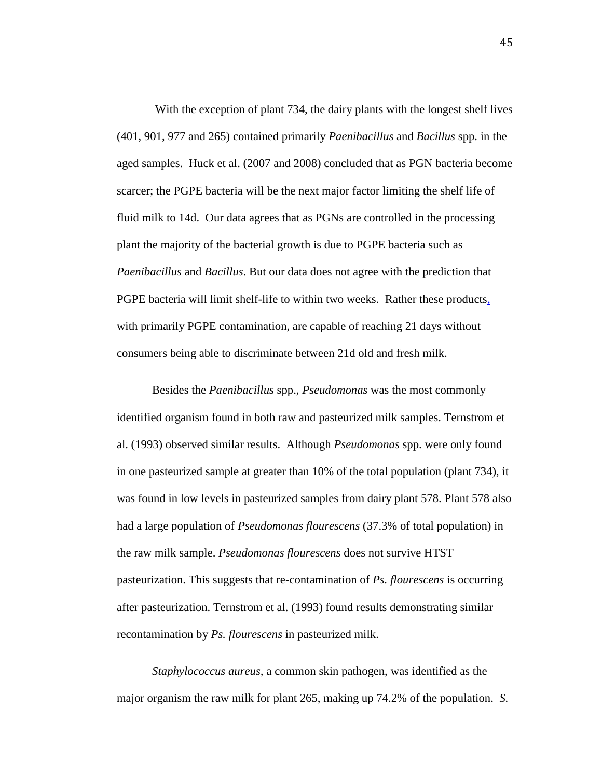With the exception of plant 734, the dairy plants with the longest shelf lives (401, 901, 977 and 265) contained primarily *Paenibacillus* and *Bacillus* spp. in the aged samples. Huck et al. (2007 and 2008) concluded that as PGN bacteria become scarcer; the PGPE bacteria will be the next major factor limiting the shelf life of fluid milk to 14d. Our data agrees that as PGNs are controlled in the processing plant the majority of the bacterial growth is due to PGPE bacteria such as *Paenibacillus* and *Bacillus*. But our data does not agree with the prediction that PGPE bacteria will limit shelf-life to within two weeks. Rather these products, with primarily PGPE contamination, are capable of reaching 21 days without consumers being able to discriminate between 21d old and fresh milk.

Besides the *Paenibacillus* spp., *Pseudomonas* was the most commonly identified organism found in both raw and pasteurized milk samples. Ternstrom et al. (1993) observed similar results. Although *Pseudomonas* spp. were only found in one pasteurized sample at greater than 10% of the total population (plant 734), it was found in low levels in pasteurized samples from dairy plant 578. Plant 578 also had a large population of *Pseudomonas flourescens* (37.3% of total population) in the raw milk sample. *Pseudomonas flourescens* does not survive HTST pasteurization. This suggests that re-contamination of *Ps. flourescens* is occurring after pasteurization. Ternstrom et al. (1993) found results demonstrating similar recontamination by *Ps. flourescens* in pasteurized milk.

*Staphylococcus aureus,* a common skin pathogen, was identified as the major organism the raw milk for plant 265, making up 74.2% of the population. *S.* 

45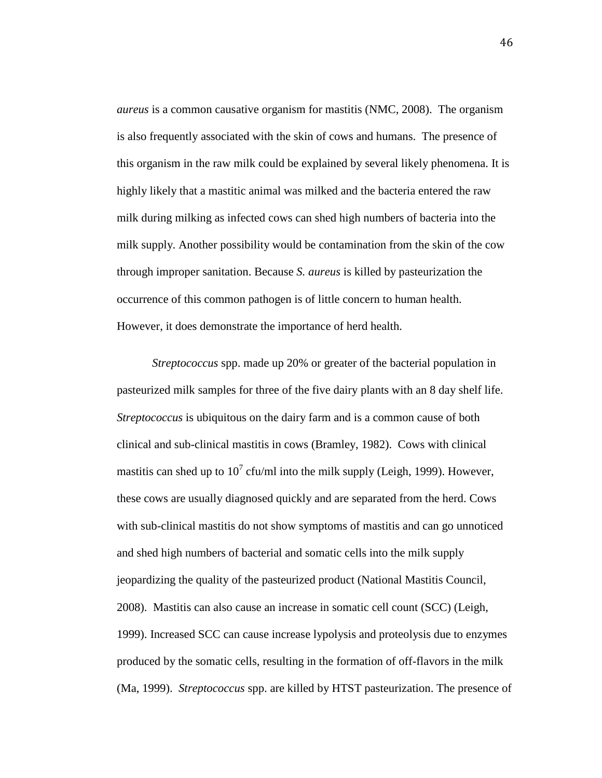*aureus* is a common causative organism for mastitis (NMC, 2008). The organism is also frequently associated with the skin of cows and humans. The presence of this organism in the raw milk could be explained by several likely phenomena. It is highly likely that a mastitic animal was milked and the bacteria entered the raw milk during milking as infected cows can shed high numbers of bacteria into the milk supply. Another possibility would be contamination from the skin of the cow through improper sanitation. Because *S. aureus* is killed by pasteurization the occurrence of this common pathogen is of little concern to human health. However, it does demonstrate the importance of herd health.

*Streptococcus* spp. made up 20% or greater of the bacterial population in pasteurized milk samples for three of the five dairy plants with an 8 day shelf life. *Streptococcus* is ubiquitous on the dairy farm and is a common cause of both clinical and sub-clinical mastitis in cows (Bramley, 1982). Cows with clinical mastitis can shed up to  $10^7$  cfu/ml into the milk supply (Leigh, 1999). However, these cows are usually diagnosed quickly and are separated from the herd. Cows with sub-clinical mastitis do not show symptoms of mastitis and can go unnoticed and shed high numbers of bacterial and somatic cells into the milk supply jeopardizing the quality of the pasteurized product (National Mastitis Council, 2008). Mastitis can also cause an increase in somatic cell count (SCC) (Leigh, 1999). Increased SCC can cause increase lypolysis and proteolysis due to enzymes produced by the somatic cells, resulting in the formation of off-flavors in the milk (Ma, 1999). *Streptococcus* spp. are killed by HTST pasteurization. The presence of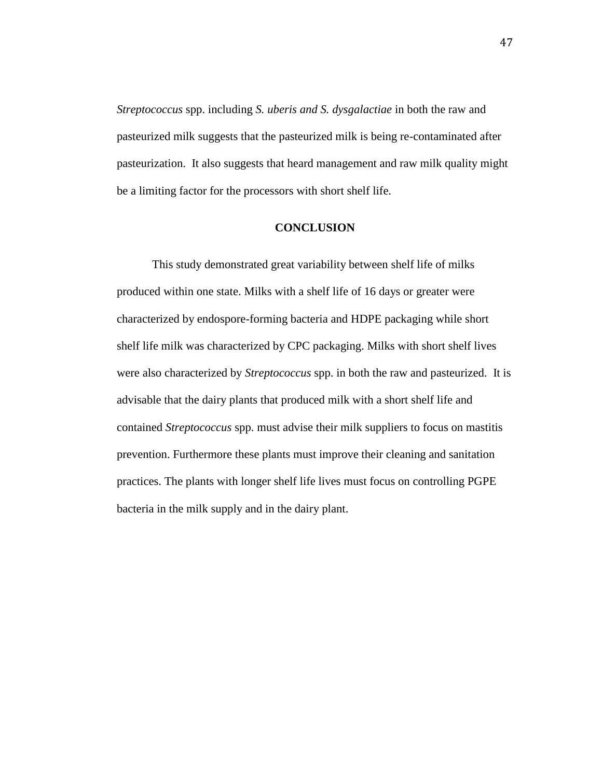*Streptococcus* spp. including *S. uberis and S. dysgalactiae* in both the raw and pasteurized milk suggests that the pasteurized milk is being re-contaminated after pasteurization. It also suggests that heard management and raw milk quality might be a limiting factor for the processors with short shelf life.

# **CONCLUSION**

This study demonstrated great variability between shelf life of milks produced within one state. Milks with a shelf life of 16 days or greater were characterized by endospore-forming bacteria and HDPE packaging while short shelf life milk was characterized by CPC packaging. Milks with short shelf lives were also characterized by *Streptococcus* spp. in both the raw and pasteurized. It is advisable that the dairy plants that produced milk with a short shelf life and contained *Streptococcus* spp. must advise their milk suppliers to focus on mastitis prevention. Furthermore these plants must improve their cleaning and sanitation practices. The plants with longer shelf life lives must focus on controlling PGPE bacteria in the milk supply and in the dairy plant.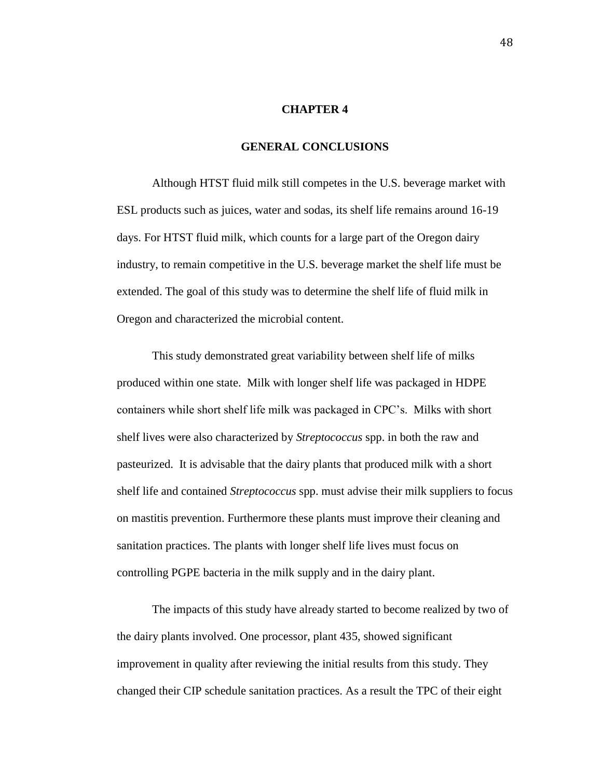#### **CHAPTER 4**

# **GENERAL CONCLUSIONS**

Although HTST fluid milk still competes in the U.S. beverage market with ESL products such as juices, water and sodas, its shelf life remains around 16-19 days. For HTST fluid milk, which counts for a large part of the Oregon dairy industry, to remain competitive in the U.S. beverage market the shelf life must be extended. The goal of this study was to determine the shelf life of fluid milk in Oregon and characterized the microbial content.

This study demonstrated great variability between shelf life of milks produced within one state. Milk with longer shelf life was packaged in HDPE containers while short shelf life milk was packaged in CPC's. Milks with short shelf lives were also characterized by *Streptococcus* spp. in both the raw and pasteurized. It is advisable that the dairy plants that produced milk with a short shelf life and contained *Streptococcus* spp. must advise their milk suppliers to focus on mastitis prevention. Furthermore these plants must improve their cleaning and sanitation practices. The plants with longer shelf life lives must focus on controlling PGPE bacteria in the milk supply and in the dairy plant.

The impacts of this study have already started to become realized by two of the dairy plants involved. One processor, plant 435, showed significant improvement in quality after reviewing the initial results from this study. They changed their CIP schedule sanitation practices. As a result the TPC of their eight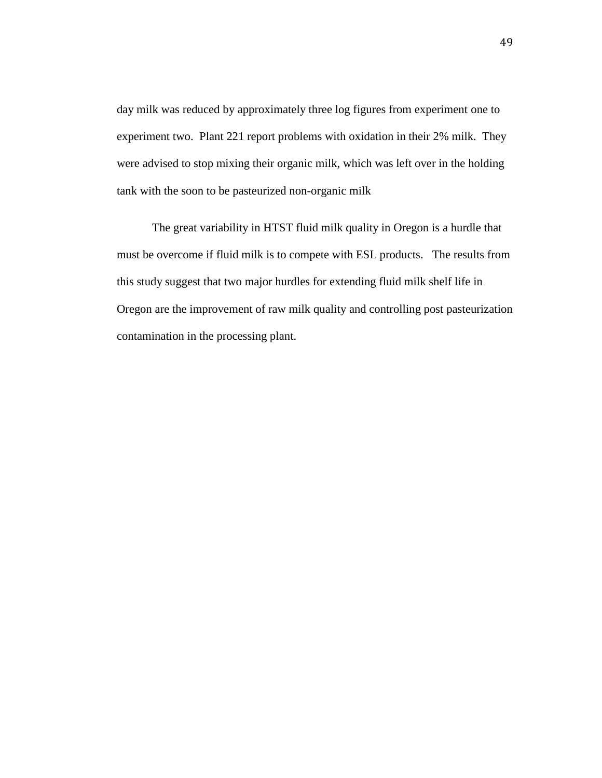day milk was reduced by approximately three log figures from experiment one to experiment two. Plant 221 report problems with oxidation in their 2% milk. They were advised to stop mixing their organic milk, which was left over in the holding tank with the soon to be pasteurized non-organic milk

The great variability in HTST fluid milk quality in Oregon is a hurdle that must be overcome if fluid milk is to compete with ESL products. The results from this study suggest that two major hurdles for extending fluid milk shelf life in Oregon are the improvement of raw milk quality and controlling post pasteurization contamination in the processing plant.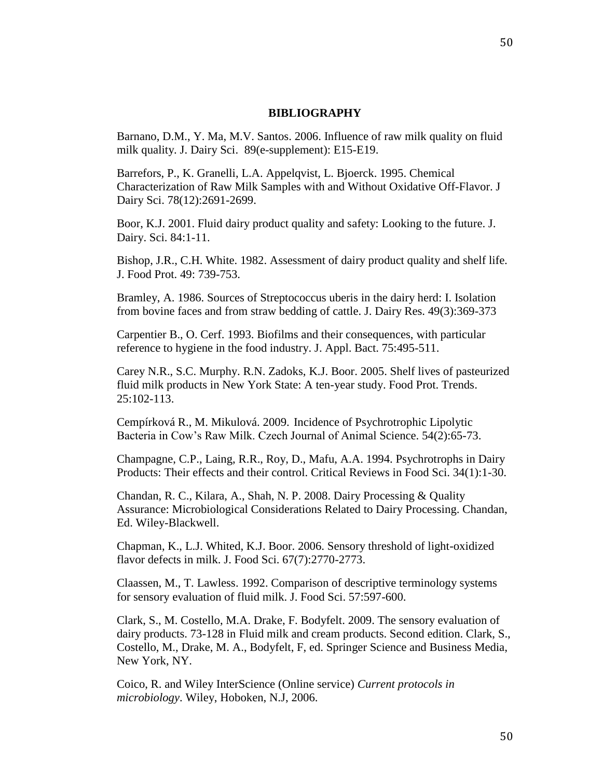#### **BIBLIOGRAPHY**

Barnano, D.M., Y. Ma, M.V. Santos. 2006. Influence of raw milk quality on fluid milk quality. J. Dairy Sci. 89(e-supplement): E15-E19.

Barrefors, P., K. Granelli, L.A. Appelqvist, L. Bjoerck. 1995. Chemical Characterization of Raw Milk Samples with and Without Oxidative Off-Flavor. J Dairy Sci. 78(12):2691-2699.

Boor, K.J. 2001. Fluid dairy product quality and safety: Looking to the future. J. Dairy. Sci. 84:1-11.

Bishop, J.R., C.H. White. 1982. Assessment of dairy product quality and shelf life. J. Food Prot. 49: 739-753.

Bramley, A. 1986. Sources of Streptococcus uberis in the dairy herd: I. Isolation from bovine faces and from straw bedding of cattle. J. Dairy Res. 49(3):369-373

Carpentier B., O. Cerf. 1993. Biofilms and their consequences, with particular reference to hygiene in the food industry. J. Appl. Bact. 75:495-511.

Carey N.R., S.C. Murphy. R.N. Zadoks, K.J. Boor. 2005. Shelf lives of pasteurized fluid milk products in New York State: A ten-year study. Food Prot. Trends. 25:102-113.

Cempírková R., M. Mikulová. 2009. Incidence of Psychrotrophic Lipolytic Bacteria in Cow's Raw Milk. Czech Journal of Animal Science. 54(2):65-73.

Champagne, C.P., Laing, R.R., Roy, D., Mafu, A.A. 1994. Psychrotrophs in Dairy Products: Their effects and their control. Critical Reviews in Food Sci. 34(1):1-30.

Chandan, R. C., Kilara, A., Shah, N. P. 2008. Dairy Processing & Quality Assurance: Microbiological Considerations Related to Dairy Processing. Chandan, Ed. Wiley-Blackwell.

Chapman, K., L.J. Whited, K.J. Boor. 2006. Sensory threshold of light-oxidized flavor defects in milk. J. Food Sci. 67(7):2770-2773.

Claassen, M., T. Lawless. 1992. Comparison of descriptive terminology systems for sensory evaluation of fluid milk. J. Food Sci. 57:597-600.

Clark, S., M. Costello, M.A. Drake, F. Bodyfelt. 2009. The sensory evaluation of dairy products. 73-128 in Fluid milk and cream products. Second edition. Clark, S., Costello, M., Drake, M. A., Bodyfelt, F, ed. Springer Science and Business Media, New York, NY.

Coico, R. and Wiley InterScience (Online service) *Current protocols in microbiology*. Wiley, Hoboken, N.J, 2006.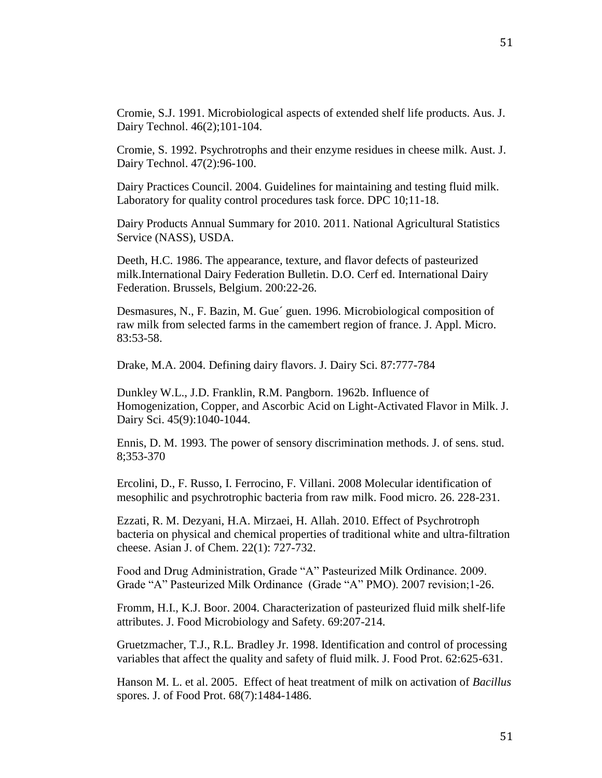Cromie, S. 1992. Psychrotrophs and their enzyme residues in cheese milk. Aust. J. Dairy Technol. 47(2):96-100.

Dairy Practices Council. 2004. Guidelines for maintaining and testing fluid milk. Laboratory for quality control procedures task force. DPC 10;11-18.

Dairy Products Annual Summary for 2010. 2011. National Agricultural Statistics Service (NASS), USDA.

Deeth, H.C. 1986. The appearance, texture, and flavor defects of pasteurized milk.International Dairy Federation Bulletin. D.O. Cerf ed. International Dairy Federation. Brussels, Belgium. 200:22-26.

Desmasures, N., F. Bazin, M. Gue´ guen. 1996. Microbiological composition of raw milk from selected farms in the camembert region of france. J. Appl. Micro. 83:53-58.

Drake, M.A. 2004. Defining dairy flavors. J. Dairy Sci. 87:777-784

Dunkley W.L., J.D. Franklin, R.M. Pangborn. 1962b. Influence of Homogenization, Copper, and Ascorbic Acid on Light-Activated Flavor in Milk. J. Dairy Sci. 45(9):1040-1044.

Ennis, D. M. 1993. The power of sensory discrimination methods. J. of sens. stud. 8;353-370

Ercolini, D., F. Russo, I. Ferrocino, F. Villani. 2008 Molecular identification of mesophilic and psychrotrophic bacteria from raw milk. Food micro. 26. 228-231.

Ezzati, R. M. Dezyani, H.A. Mirzaei, H. Allah. 2010. Effect of Psychrotroph bacteria on physical and chemical properties of traditional white and ultra-filtration cheese. Asian J. of Chem. 22(1): 727-732.

Food and Drug Administration, Grade "A" Pasteurized Milk Ordinance. 2009. Grade "A" Pasteurized Milk Ordinance (Grade "A" PMO). 2007 revision;1-26.

Fromm, H.I., K.J. Boor. 2004. Characterization of pasteurized fluid milk shelf-life attributes. J. Food Microbiology and Safety. 69:207-214.

Gruetzmacher, T.J., R.L. Bradley Jr. 1998. Identification and control of processing variables that affect the quality and safety of fluid milk. J. Food Prot. 62:625-631.

Hanson M. L. et al. 2005. Effect of heat treatment of milk on activation of *Bacillus*  spores. J. of Food Prot. 68(7):1484-1486.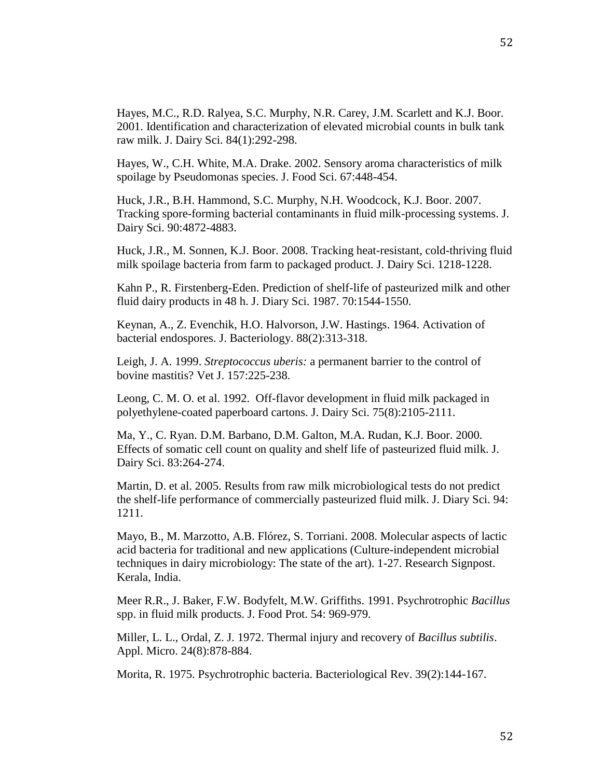Hayes, W., C.H. White, M.A. Drake. 2002. Sensory aroma characteristics of milk spoilage by Pseudomonas species. J. Food Sci. 67:448-454.

Huck, J.R., B.H. Hammond, S.C. Murphy, N.H. Woodcock, K.J. Boor. 2007. Tracking spore-forming bacterial contaminants in fluid milk-processing systems. J. Dairy Sci. 90:4872-4883.

Huck, J.R., M. Sonnen, K.J. Boor. 2008. Tracking heat-resistant, cold-thriving fluid milk spoilage bacteria from farm to packaged product. J. Dairy Sci. 1218-1228.

Kahn P., R. Firstenberg-Eden. Prediction of shelf-life of pasteurized milk and other fluid dairy products in 48 h. J. Diary Sci. 1987. 70:1544-1550.

Keynan, A., Z. Evenchik, H.O. Halvorson, J.W. Hastings. 1964. Activation of bacterial endospores. J. Bacteriology. 88(2):313-318.

Leigh, J. A. 1999. *Streptococcus uberis:* a permanent barrier to the control of bovine mastitis? Vet J. 157:225-238.

Leong, C. M. O. et al. 1992. Off-flavor development in fluid milk packaged in polyethylene-coated paperboard cartons. J. Dairy Sci. 75(8):2105-2111.

Ma, Y., C. Ryan. D.M. Barbano, D.M. Galton, M.A. Rudan, K.J. Boor. 2000. Effects of somatic cell count on quality and shelf life of pasteurized fluid milk. J. Dairy Sci. 83:264-274.

Martin, D. et al. 2005. Results from raw milk microbiological tests do not predict the shelf-life performance of commercially pasteurized fluid milk. J. Diary Sci. 94: 1211.

Mayo, B., M. Marzotto, A.B. Flórez, S. Torriani. 2008. Molecular aspects of lactic acid bacteria for traditional and new applications (Culture-independent microbial techniques in dairy microbiology: The state of the art). 1-27. Research Signpost. Kerala, India.

Meer R.R., J. Baker, F.W. Bodyfelt, M.W. Griffiths. 1991. Psychrotrophic *Bacillus*  spp. in fluid milk products. J. Food Prot. 54: 969-979.

Miller, L. L., Ordal, Z. J. 1972. Thermal injury and recovery of *Bacillus subtilis*. Appl. Micro. 24(8):878-884.

Morita, R. 1975. Psychrotrophic bacteria. Bacteriological Rev. 39(2):144-167.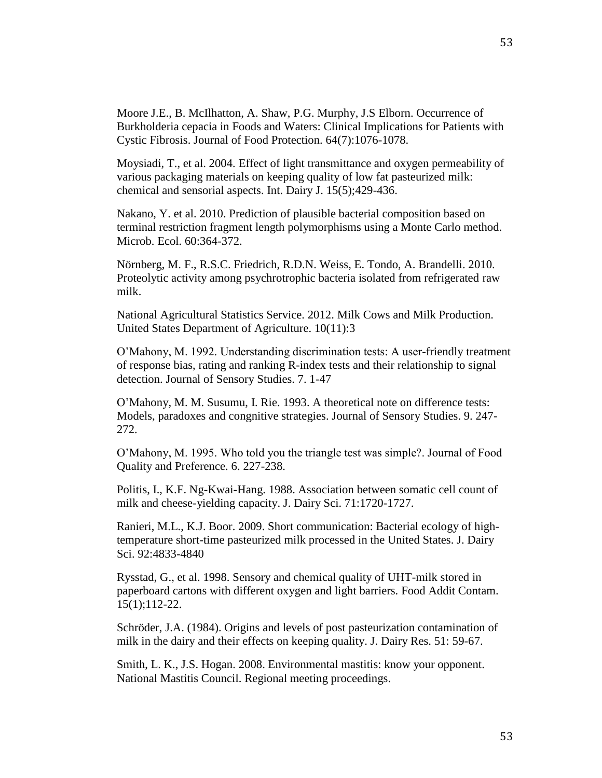Moore J.E., B. McIlhatton, A. Shaw, P.G. Murphy, J.S Elborn. Occurrence of Burkholderia cepacia in Foods and Waters: Clinical Implications for Patients with Cystic Fibrosis. Journal of Food Protection. 64(7):1076-1078.

Moysiadi, T., et al. 2004. Effect of light transmittance and oxygen permeability of various packaging materials on keeping quality of low fat pasteurized milk: chemical and sensorial aspects. Int. Dairy J. 15(5);429-436.

Nakano, Y. et al. 2010. Prediction of plausible bacterial composition based on terminal restriction fragment length polymorphisms using a Monte Carlo method. Microb. Ecol. 60:364-372.

Nörnberg, M. F., R.S.C. Friedrich, R.D.N. Weiss, E. Tondo, A. Brandelli. 2010. Proteolytic activity among psychrotrophic bacteria isolated from refrigerated raw milk.

National Agricultural Statistics Service. 2012. Milk Cows and Milk Production. United States Department of Agriculture. 10(11):3

O'Mahony, M. 1992. Understanding discrimination tests: A user-friendly treatment of response bias, rating and ranking R-index tests and their relationship to signal detection. Journal of Sensory Studies. 7. 1-47

O'Mahony, M. M. Susumu, I. Rie. 1993. A theoretical note on difference tests: Models, paradoxes and congnitive strategies. Journal of Sensory Studies. 9. 247- 272.

O'Mahony, M. 1995. Who told you the triangle test was simple?. Journal of Food Quality and Preference. 6. 227-238.

Politis, I., K.F. Ng-Kwai-Hang. 1988. Association between somatic cell count of milk and cheese-yielding capacity. J. Dairy Sci. 71:1720-1727.

Ranieri, M.L., K.J. Boor. 2009. Short communication: Bacterial ecology of hightemperature short-time pasteurized milk processed in the United States. J. Dairy Sci. 92:4833-4840

Rysstad, G., et al. 1998. Sensory and chemical quality of UHT-milk stored in paperboard cartons with different oxygen and light barriers. Food Addit Contam. 15(1);112-22.

Schröder, J.A. (1984). Origins and levels of post pasteurization contamination of milk in the dairy and their effects on keeping quality. J. Dairy Res. 51: 59-67.

Smith, L. K., J.S. Hogan. 2008. Environmental mastitis: know your opponent. National Mastitis Council. Regional meeting proceedings.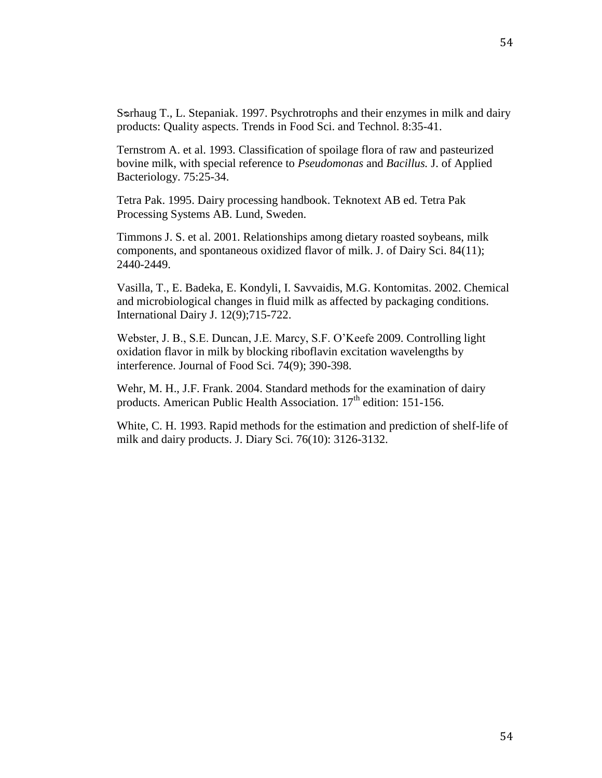Ternstrom A. et al. 1993. Classification of spoilage flora of raw and pasteurized bovine milk, with special reference to *Pseudomonas* and *Bacillus.* J. of Applied Bacteriology. 75:25-34.

Tetra Pak. 1995. Dairy processing handbook. Teknotext AB ed. Tetra Pak Processing Systems AB. Lund, Sweden.

Timmons J. S. et al. 2001. Relationships among dietary roasted soybeans, milk components, and spontaneous oxidized flavor of milk. J. of Dairy Sci. 84(11); 2440-2449.

Vasilla, T., E. Badeka, E. Kondyli, I. Savvaidis, M.G. Kontomitas. 2002. Chemical and microbiological changes in fluid milk as affected by packaging conditions. International Dairy J. 12(9);715-722.

Webster, J. B., S.E. Duncan, J.E. Marcy, S.F. O'Keefe 2009. Controlling light oxidation flavor in milk by blocking riboflavin excitation wavelengths by interference. Journal of Food Sci. 74(9); 390-398.

Wehr, M. H., J.F. Frank. 2004. Standard methods for the examination of dairy products. American Public Health Association.  $17<sup>th</sup>$  edition: 151-156.

White, C. H. 1993. Rapid methods for the estimation and prediction of shelf-life of milk and dairy products. J. Diary Sci. 76(10): 3126-3132.